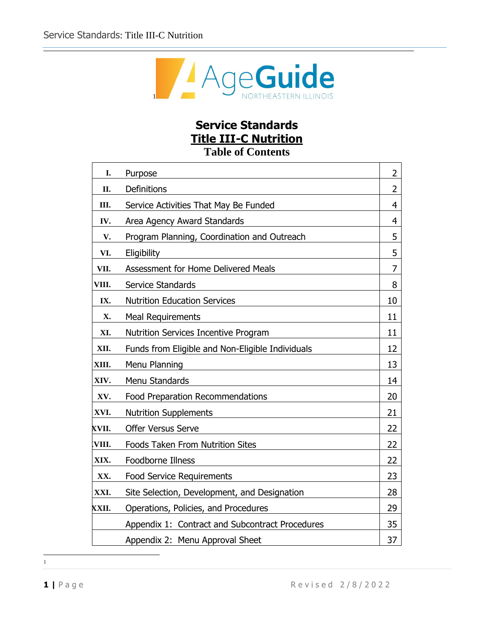

# **Service Standards Title III-C Nutrition**

**Table of Contents**

| I.    | Purpose                                          | 2  |
|-------|--------------------------------------------------|----|
| II.   | Definitions                                      | 2  |
| Ш.    | Service Activities That May Be Funded            | 4  |
| IV.   | Area Agency Award Standards                      | 4  |
| V.    | Program Planning, Coordination and Outreach      | 5  |
| VI.   | Eligibility                                      | 5  |
| VII.  | Assessment for Home Delivered Meals              | 7  |
| VIII. | Service Standards                                | 8  |
| IX.   | <b>Nutrition Education Services</b>              | 10 |
| X.    | <b>Meal Requirements</b>                         | 11 |
| XI.   | <b>Nutrition Services Incentive Program</b>      | 11 |
| XII.  | Funds from Eligible and Non-Eligible Individuals | 12 |
| XIII. | Menu Planning                                    | 13 |
| XIV.  | Menu Standards                                   | 14 |
| XV.   | Food Preparation Recommendations                 | 20 |
| XVI.  | <b>Nutrition Supplements</b>                     | 21 |
| XVII. | <b>Offer Versus Serve</b>                        | 22 |
| VIII. | Foods Taken From Nutrition Sites                 | 22 |
| XIX.  | Foodborne Illness                                | 22 |
| XX.   | <b>Food Service Requirements</b>                 | 23 |
| XXI.  | Site Selection, Development, and Designation     | 28 |
| XXII. | Operations, Policies, and Procedures             | 29 |
|       | Appendix 1: Contract and Subcontract Procedures  | 35 |
|       | Appendix 2: Menu Approval Sheet                  | 37 |

1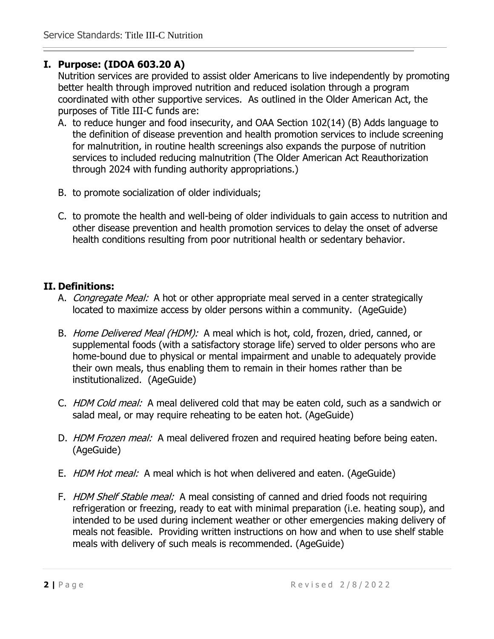# **I. Purpose: (IDOA 603.20 A)**

Nutrition services are provided to assist older Americans to live independently by promoting better health through improved nutrition and reduced isolation through a program coordinated with other supportive services. As outlined in the Older American Act, the purposes of Title III-C funds are:

- A. to reduce hunger and food insecurity, and OAA Section 102(14) (B) Adds language to the definition of disease prevention and health promotion services to include screening for malnutrition, in routine health screenings also expands the purpose of nutrition services to included reducing malnutrition (The Older American Act Reauthorization through 2024 with funding authority appropriations.)
- B. to promote socialization of older individuals;
- C. to promote the health and well-being of older individuals to gain access to nutrition and other disease prevention and health promotion services to delay the onset of adverse health conditions resulting from poor nutritional health or sedentary behavior.

# **II. Definitions:**

- A. Congregate Meal:A hot or other appropriate meal served in a center strategically located to maximize access by older persons within a community. (AgeGuide)
- B. Home Delivered Meal (HDM): A meal which is hot, cold, frozen, dried, canned, or supplemental foods (with a satisfactory storage life) served to older persons who are home-bound due to physical or mental impairment and unable to adequately provide their own meals, thus enabling them to remain in their homes rather than be institutionalized. (AgeGuide)
- C. HDM Cold meal: A meal delivered cold that may be eaten cold, such as a sandwich or salad meal, or may require reheating to be eaten hot. (AgeGuide)
- D. HDM Frozen meal: A meal delivered frozen and required heating before being eaten. (AgeGuide)
- E. HDM Hot meal: A meal which is hot when delivered and eaten. (AgeGuide)
- F. HDM Shelf Stable meal: A meal consisting of canned and dried foods not requiring refrigeration or freezing, ready to eat with minimal preparation (i.e. heating soup), and intended to be used during inclement weather or other emergencies making delivery of meals not feasible. Providing written instructions on how and when to use shelf stable meals with delivery of such meals is recommended. (AgeGuide)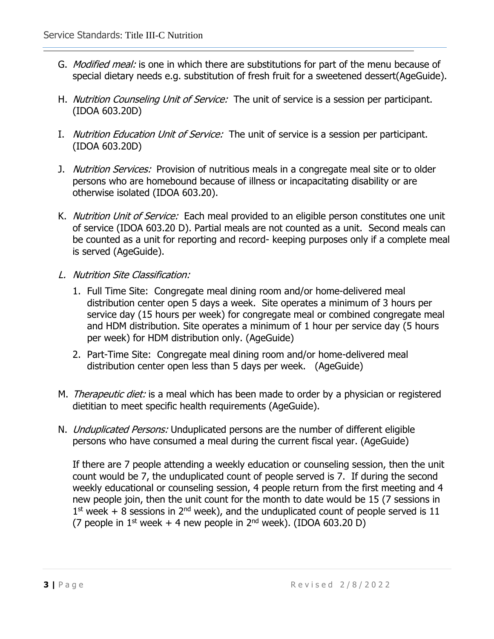- G. *Modified meal:* is one in which there are substitutions for part of the menu because of special dietary needs e.g. substitution of fresh fruit for a sweetened dessert(AgeGuide).
- H. Nutrition Counseling Unit of Service: The unit of service is a session per participant. (IDOA 603.20D)
- I. Nutrition Education Unit of Service: The unit of service is a session per participant. (IDOA 603.20D)
- J. Nutrition Services:Provision of nutritious meals in a congregate meal site or to older persons who are homebound because of illness or incapacitating disability or are otherwise isolated (IDOA 603.20).
- K. Nutrition Unit of Service: Each meal provided to an eligible person constitutes one unit of service (IDOA 603.20 D). Partial meals are not counted as a unit. Second meals can be counted as a unit for reporting and record- keeping purposes only if a complete meal is served (AgeGuide).
- L. Nutrition Site Classification:
	- 1. Full Time Site: Congregate meal dining room and/or home-delivered meal distribution center open 5 days a week. Site operates a minimum of 3 hours per service day (15 hours per week) for congregate meal or combined congregate meal and HDM distribution. Site operates a minimum of 1 hour per service day (5 hours per week) for HDM distribution only. (AgeGuide)
	- 2. Part-Time Site: Congregate meal dining room and/or home-delivered meal distribution center open less than 5 days per week. (AgeGuide)
- M. *Therapeutic diet:* is a meal which has been made to order by a physician or registered dietitian to meet specific health requirements (AgeGuide).
- N. *Unduplicated Persons:* Unduplicated persons are the number of different eligible persons who have consumed a meal during the current fiscal year. (AgeGuide)

If there are 7 people attending a weekly education or counseling session, then the unit count would be 7, the unduplicated count of people served is 7. If during the second weekly educational or counseling session, 4 people return from the first meeting and 4 new people join, then the unit count for the month to date would be 15 (7 sessions in  $1<sup>st</sup>$  week + 8 sessions in  $2<sup>nd</sup>$  week), and the unduplicated count of people served is 11 (7 people in  $1<sup>st</sup>$  week + 4 new people in  $2<sup>nd</sup>$  week). (IDOA 603.20 D)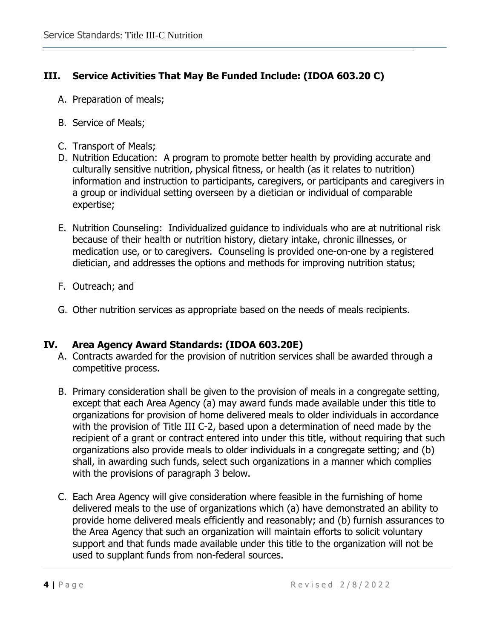# **III. Service Activities That May Be Funded Include: (IDOA 603.20 C)**

- A. Preparation of meals;
- B. Service of Meals;
- C. Transport of Meals;
- D. Nutrition Education: A program to promote better health by providing accurate and culturally sensitive nutrition, physical fitness, or health (as it relates to nutrition) information and instruction to participants, caregivers, or participants and caregivers in a group or individual setting overseen by a dietician or individual of comparable expertise;
- E. Nutrition Counseling: Individualized guidance to individuals who are at nutritional risk because of their health or nutrition history, dietary intake, chronic illnesses, or medication use, or to caregivers. Counseling is provided one-on-one by a registered dietician, and addresses the options and methods for improving nutrition status;
- F. Outreach; and
- G. Other nutrition services as appropriate based on the needs of meals recipients.

# **IV. Area Agency Award Standards: (IDOA 603.20E)**

- A. Contracts awarded for the provision of nutrition services shall be awarded through a competitive process.
- B. Primary consideration shall be given to the provision of meals in a congregate setting, except that each Area Agency (a) may award funds made available under this title to organizations for provision of home delivered meals to older individuals in accordance with the provision of Title III C-2, based upon a determination of need made by the recipient of a grant or contract entered into under this title, without requiring that such organizations also provide meals to older individuals in a congregate setting; and (b) shall, in awarding such funds, select such organizations in a manner which complies with the provisions of paragraph 3 below.
- C. Each Area Agency will give consideration where feasible in the furnishing of home delivered meals to the use of organizations which (a) have demonstrated an ability to provide home delivered meals efficiently and reasonably; and (b) furnish assurances to the Area Agency that such an organization will maintain efforts to solicit voluntary support and that funds made available under this title to the organization will not be used to supplant funds from non-federal sources.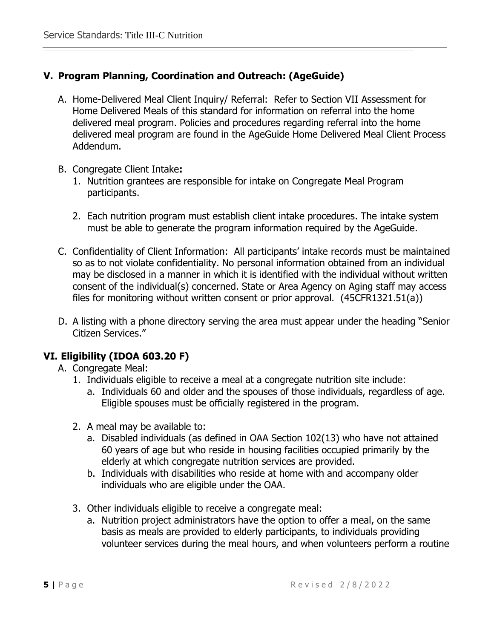# **V. Program Planning, Coordination and Outreach: (AgeGuide)**

- A. Home-Delivered Meal Client Inquiry/ Referral: Refer to Section VII Assessment for Home Delivered Meals of this standard for information on referral into the home delivered meal program. Policies and procedures regarding referral into the home delivered meal program are found in the AgeGuide Home Delivered Meal Client Process Addendum.
- B. Congregate Client Intake**:** 
	- 1. Nutrition grantees are responsible for intake on Congregate Meal Program participants.
	- 2. Each nutrition program must establish client intake procedures. The intake system must be able to generate the program information required by the AgeGuide.
- C. Confidentiality of Client Information: All participants' intake records must be maintained so as to not violate confidentiality. No personal information obtained from an individual may be disclosed in a manner in which it is identified with the individual without written consent of the individual(s) concerned. State or Area Agency on Aging staff may access files for monitoring without written consent or prior approval. (45CFR1321.51(a))
- D. A listing with a phone directory serving the area must appear under the heading "Senior Citizen Services."

# **VI. Eligibility (IDOA 603.20 F)**

- A. Congregate Meal:
	- 1. Individuals eligible to receive a meal at a congregate nutrition site include:
		- a. Individuals 60 and older and the spouses of those individuals, regardless of age. Eligible spouses must be officially registered in the program.
	- 2. A meal may be available to:
		- a. Disabled individuals (as defined in OAA Section 102(13) who have not attained 60 years of age but who reside in housing facilities occupied primarily by the elderly at which congregate nutrition services are provided.
		- b. Individuals with disabilities who reside at home with and accompany older individuals who are eligible under the OAA.
	- 3. Other individuals eligible to receive a congregate meal:
		- a. Nutrition project administrators have the option to offer a meal, on the same basis as meals are provided to elderly participants, to individuals providing volunteer services during the meal hours, and when volunteers perform a routine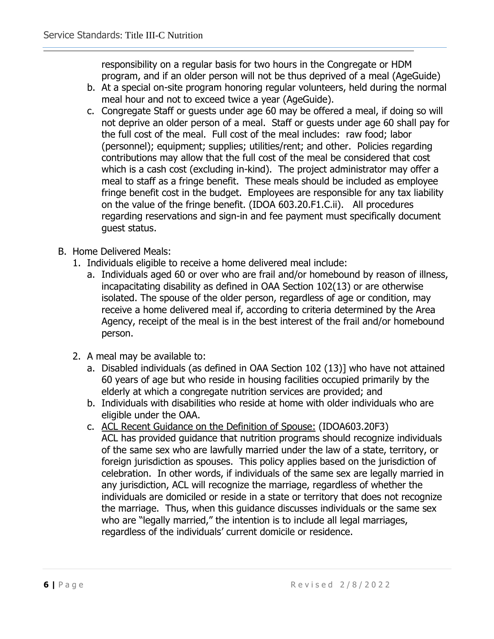responsibility on a regular basis for two hours in the Congregate or HDM program, and if an older person will not be thus deprived of a meal (AgeGuide)

- b. At a special on-site program honoring regular volunteers, held during the normal meal hour and not to exceed twice a year (AgeGuide).
- c. Congregate Staff or guests under age 60 may be offered a meal, if doing so will not deprive an older person of a meal. Staff or guests under age 60 shall pay for the full cost of the meal. Full cost of the meal includes: raw food; labor (personnel); equipment; supplies; utilities/rent; and other. Policies regarding contributions may allow that the full cost of the meal be considered that cost which is a cash cost (excluding in-kind). The project administrator may offer a meal to staff as a fringe benefit. These meals should be included as employee fringe benefit cost in the budget. Employees are responsible for any tax liability on the value of the fringe benefit. (IDOA 603.20.F1.C.ii). All procedures regarding reservations and sign-in and fee payment must specifically document guest status.
- B. Home Delivered Meals:
	- 1. Individuals eligible to receive a home delivered meal include:
		- a. Individuals aged 60 or over who are frail and/or homebound by reason of illness, incapacitating disability as defined in OAA Section 102(13) or are otherwise isolated. The spouse of the older person, regardless of age or condition, may receive a home delivered meal if, according to criteria determined by the Area Agency, receipt of the meal is in the best interest of the frail and/or homebound person.
	- 2. A meal may be available to:
		- a. Disabled individuals (as defined in OAA Section 102 (13)] who have not attained 60 years of age but who reside in housing facilities occupied primarily by the elderly at which a congregate nutrition services are provided; and
		- b. Individuals with disabilities who reside at home with older individuals who are eligible under the OAA.
		- c. ACL Recent Guidance on the Definition of Spouse: (IDOA603.20F3) ACL has provided guidance that nutrition programs should recognize individuals of the same sex who are lawfully married under the law of a state, territory, or foreign jurisdiction as spouses. This policy applies based on the jurisdiction of celebration. In other words, if individuals of the same sex are legally married in any jurisdiction, ACL will recognize the marriage, regardless of whether the individuals are domiciled or reside in a state or territory that does not recognize the marriage. Thus, when this guidance discusses individuals or the same sex who are "legally married," the intention is to include all legal marriages, regardless of the individuals' current domicile or residence.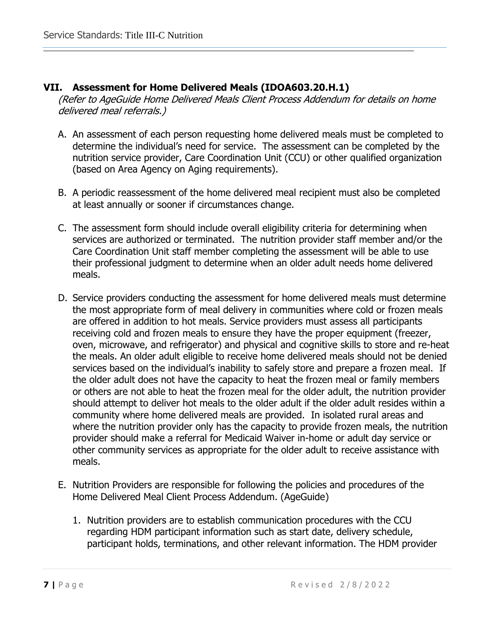# **VII. Assessment for Home Delivered Meals (IDOA603.20.H.1)**

(Refer to AgeGuide Home Delivered Meals Client Process Addendum for details on home delivered meal referrals.)

- A. An assessment of each person requesting home delivered meals must be completed to determine the individual's need for service. The assessment can be completed by the nutrition service provider, Care Coordination Unit (CCU) or other qualified organization (based on Area Agency on Aging requirements).
- B. A periodic reassessment of the home delivered meal recipient must also be completed at least annually or sooner if circumstances change.
- C. The assessment form should include overall eligibility criteria for determining when services are authorized or terminated. The nutrition provider staff member and/or the Care Coordination Unit staff member completing the assessment will be able to use their professional judgment to determine when an older adult needs home delivered meals.
- D. Service providers conducting the assessment for home delivered meals must determine the most appropriate form of meal delivery in communities where cold or frozen meals are offered in addition to hot meals. Service providers must assess all participants receiving cold and frozen meals to ensure they have the proper equipment (freezer, oven, microwave, and refrigerator) and physical and cognitive skills to store and re-heat the meals. An older adult eligible to receive home delivered meals should not be denied services based on the individual's inability to safely store and prepare a frozen meal. If the older adult does not have the capacity to heat the frozen meal or family members or others are not able to heat the frozen meal for the older adult, the nutrition provider should attempt to deliver hot meals to the older adult if the older adult resides within a community where home delivered meals are provided. In isolated rural areas and where the nutrition provider only has the capacity to provide frozen meals, the nutrition provider should make a referral for Medicaid Waiver in-home or adult day service or other community services as appropriate for the older adult to receive assistance with meals.
- E. Nutrition Providers are responsible for following the policies and procedures of the Home Delivered Meal Client Process Addendum. (AgeGuide)
	- 1. Nutrition providers are to establish communication procedures with the CCU regarding HDM participant information such as start date, delivery schedule, participant holds, terminations, and other relevant information. The HDM provider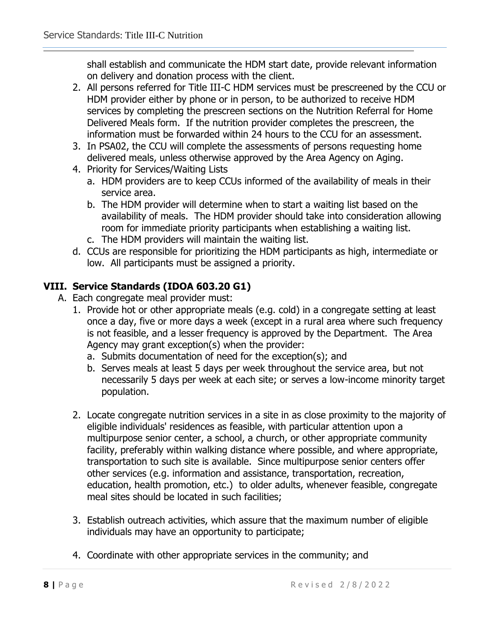shall establish and communicate the HDM start date, provide relevant information on delivery and donation process with the client.

- 2. All persons referred for Title III-C HDM services must be prescreened by the CCU or HDM provider either by phone or in person, to be authorized to receive HDM services by completing the prescreen sections on the Nutrition Referral for Home Delivered Meals form. If the nutrition provider completes the prescreen, the information must be forwarded within 24 hours to the CCU for an assessment.
- 3. In PSA02, the CCU will complete the assessments of persons requesting home delivered meals, unless otherwise approved by the Area Agency on Aging.
- 4. Priority for Services/Waiting Lists
	- a. HDM providers are to keep CCUs informed of the availability of meals in their service area.
	- b. The HDM provider will determine when to start a waiting list based on the availability of meals. The HDM provider should take into consideration allowing room for immediate priority participants when establishing a waiting list.
	- c. The HDM providers will maintain the waiting list.
- d. CCUs are responsible for prioritizing the HDM participants as high, intermediate or low. All participants must be assigned a priority.

# **VIII. Service Standards (IDOA 603.20 G1)**

- A. Each congregate meal provider must:
	- 1. Provide hot or other appropriate meals (e.g. cold) in a congregate setting at least once a day, five or more days a week (except in a rural area where such frequency is not feasible, and a lesser frequency is approved by the Department. The Area Agency may grant exception(s) when the provider:
		- a. Submits documentation of need for the exception(s); and
		- b. Serves meals at least 5 days per week throughout the service area, but not necessarily 5 days per week at each site; or serves a low-income minority target population.
	- 2. Locate congregate nutrition services in a site in as close proximity to the majority of eligible individuals' residences as feasible, with particular attention upon a multipurpose senior center, a school, a church, or other appropriate community facility, preferably within walking distance where possible, and where appropriate, transportation to such site is available. Since multipurpose senior centers offer other services (e.g. information and assistance, transportation, recreation, education, health promotion, etc.) to older adults, whenever feasible, congregate meal sites should be located in such facilities;
	- 3. Establish outreach activities, which assure that the maximum number of eligible individuals may have an opportunity to participate;
	- 4. Coordinate with other appropriate services in the community; and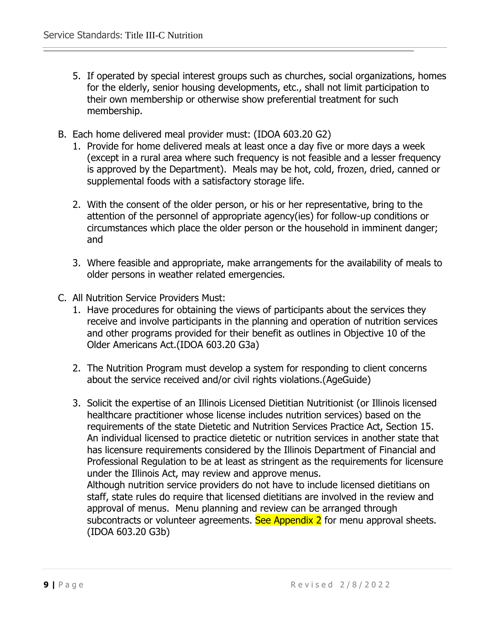- 5. If operated by special interest groups such as churches, social organizations, homes for the elderly, senior housing developments, etc., shall not limit participation to their own membership or otherwise show preferential treatment for such membership.
- B. Each home delivered meal provider must: (IDOA 603.20 G2)
	- 1. Provide for home delivered meals at least once a day five or more days a week (except in a rural area where such frequency is not feasible and a lesser frequency is approved by the Department). Meals may be hot, cold, frozen, dried, canned or supplemental foods with a satisfactory storage life.
	- 2. With the consent of the older person, or his or her representative, bring to the attention of the personnel of appropriate agency(ies) for follow-up conditions or circumstances which place the older person or the household in imminent danger; and
	- 3. Where feasible and appropriate, make arrangements for the availability of meals to older persons in weather related emergencies.
- C. All Nutrition Service Providers Must:
	- 1. Have procedures for obtaining the views of participants about the services they receive and involve participants in the planning and operation of nutrition services and other programs provided for their benefit as outlines in Objective 10 of the Older Americans Act.(IDOA 603.20 G3a)
	- 2. The Nutrition Program must develop a system for responding to client concerns about the service received and/or civil rights violations.(AgeGuide)
	- 3. Solicit the expertise of an Illinois Licensed Dietitian Nutritionist (or Illinois licensed healthcare practitioner whose license includes nutrition services) based on the requirements of the state Dietetic and Nutrition Services Practice Act, Section 15. An individual licensed to practice dietetic or nutrition services in another state that has licensure requirements considered by the Illinois Department of Financial and Professional Regulation to be at least as stringent as the requirements for licensure under the Illinois Act, may review and approve menus. Although nutrition service providers do not have to include licensed dietitians on staff, state rules do require that licensed dietitians are involved in the review and approval of menus. Menu planning and review can be arranged through subcontracts or volunteer agreements. See Appendix 2 for menu approval sheets.

(IDOA 603.20 G3b)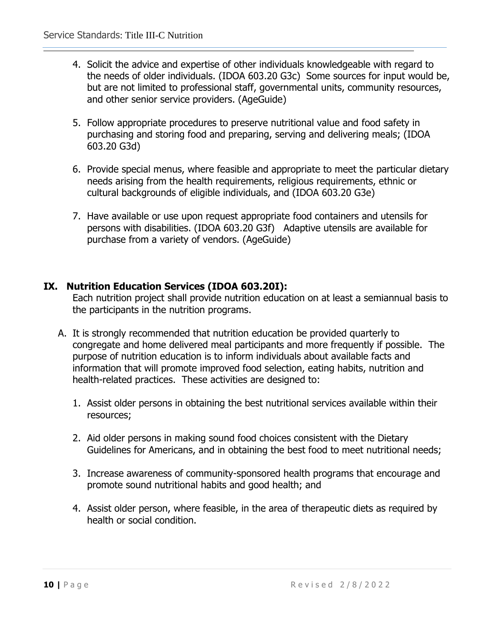- 4. Solicit the advice and expertise of other individuals knowledgeable with regard to the needs of older individuals. (IDOA 603.20 G3c) Some sources for input would be, but are not limited to professional staff, governmental units, community resources, and other senior service providers. (AgeGuide)
- 5. Follow appropriate procedures to preserve nutritional value and food safety in purchasing and storing food and preparing, serving and delivering meals; (IDOA 603.20 G3d)
- 6. Provide special menus, where feasible and appropriate to meet the particular dietary needs arising from the health requirements, religious requirements, ethnic or cultural backgrounds of eligible individuals, and (IDOA 603.20 G3e)
- 7. Have available or use upon request appropriate food containers and utensils for persons with disabilities. (IDOA 603.20 G3f) Adaptive utensils are available for purchase from a variety of vendors. (AgeGuide)

# **IX. Nutrition Education Services (IDOA 603.20I):**

Each nutrition project shall provide nutrition education on at least a semiannual basis to the participants in the nutrition programs.

- A. It is strongly recommended that nutrition education be provided quarterly to congregate and home delivered meal participants and more frequently if possible. The purpose of nutrition education is to inform individuals about available facts and information that will promote improved food selection, eating habits, nutrition and health-related practices. These activities are designed to:
	- 1. Assist older persons in obtaining the best nutritional services available within their resources;
	- 2. Aid older persons in making sound food choices consistent with the Dietary Guidelines for Americans, and in obtaining the best food to meet nutritional needs;
	- 3. Increase awareness of community-sponsored health programs that encourage and promote sound nutritional habits and good health; and
	- 4. Assist older person, where feasible, in the area of therapeutic diets as required by health or social condition.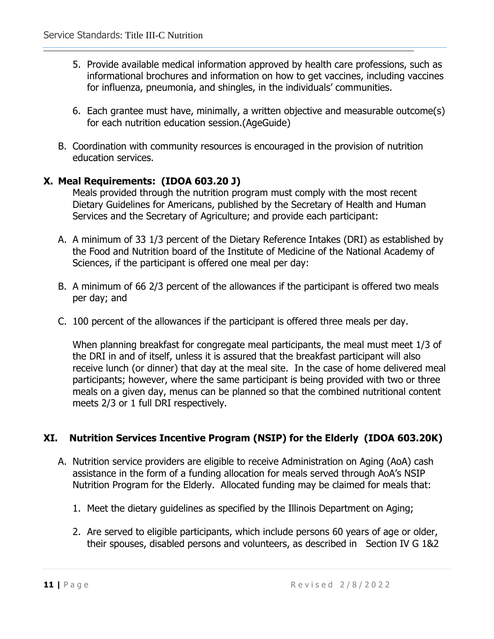- 5. Provide available medical information approved by health care professions, such as informational brochures and information on how to get vaccines, including vaccines for influenza, pneumonia, and shingles, in the individuals' communities.
- 6. Each grantee must have, minimally, a written objective and measurable outcome(s) for each nutrition education session.(AgeGuide)
- B. Coordination with community resources is encouraged in the provision of nutrition education services.

# **X. Meal Requirements: (IDOA 603.20 J)**

Meals provided through the nutrition program must comply with the most recent Dietary Guidelines for Americans, published by the Secretary of Health and Human Services and the Secretary of Agriculture; and provide each participant:

- A. A minimum of 33 1/3 percent of the Dietary Reference Intakes (DRI) as established by the Food and Nutrition board of the Institute of Medicine of the National Academy of Sciences, if the participant is offered one meal per day:
- B. A minimum of 66 2/3 percent of the allowances if the participant is offered two meals per day; and
- C. 100 percent of the allowances if the participant is offered three meals per day.

When planning breakfast for congregate meal participants, the meal must meet 1/3 of the DRI in and of itself, unless it is assured that the breakfast participant will also receive lunch (or dinner) that day at the meal site. In the case of home delivered meal participants; however, where the same participant is being provided with two or three meals on a given day, menus can be planned so that the combined nutritional content meets 2/3 or 1 full DRI respectively.

# **XI. Nutrition Services Incentive Program (NSIP) for the Elderly (IDOA 603.20K)**

- A. Nutrition service providers are eligible to receive Administration on Aging (AoA) cash assistance in the form of a funding allocation for meals served through AoA's NSIP Nutrition Program for the Elderly. Allocated funding may be claimed for meals that:
	- 1. Meet the dietary guidelines as specified by the Illinois Department on Aging;
	- 2. Are served to eligible participants, which include persons 60 years of age or older, their spouses, disabled persons and volunteers, as described in Section IV G 1&2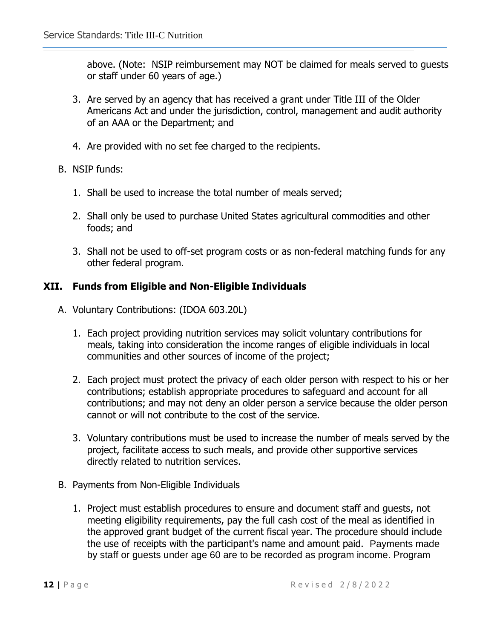above. (Note: NSIP reimbursement may NOT be claimed for meals served to guests or staff under 60 years of age.)

- 3. Are served by an agency that has received a grant under Title III of the Older Americans Act and under the jurisdiction, control, management and audit authority of an AAA or the Department; and
- 4. Are provided with no set fee charged to the recipients.
- B. NSIP funds:
	- 1. Shall be used to increase the total number of meals served;
	- 2. Shall only be used to purchase United States agricultural commodities and other foods; and
	- 3. Shall not be used to off-set program costs or as non-federal matching funds for any other federal program.

# **XII. Funds from Eligible and Non-Eligible Individuals**

- A. Voluntary Contributions: (IDOA 603.20L)
	- 1. Each project providing nutrition services may solicit voluntary contributions for meals, taking into consideration the income ranges of eligible individuals in local communities and other sources of income of the project;
	- 2. Each project must protect the privacy of each older person with respect to his or her contributions; establish appropriate procedures to safeguard and account for all contributions; and may not deny an older person a service because the older person cannot or will not contribute to the cost of the service.
	- 3. Voluntary contributions must be used to increase the number of meals served by the project, facilitate access to such meals, and provide other supportive services directly related to nutrition services.
- B. Payments from Non-Eligible Individuals
	- 1. Project must establish procedures to ensure and document staff and guests, not meeting eligibility requirements, pay the full cash cost of the meal as identified in the approved grant budget of the current fiscal year. The procedure should include the use of receipts with the participant's name and amount paid. Payments made by staff or guests under age 60 are to be recorded as program income. Program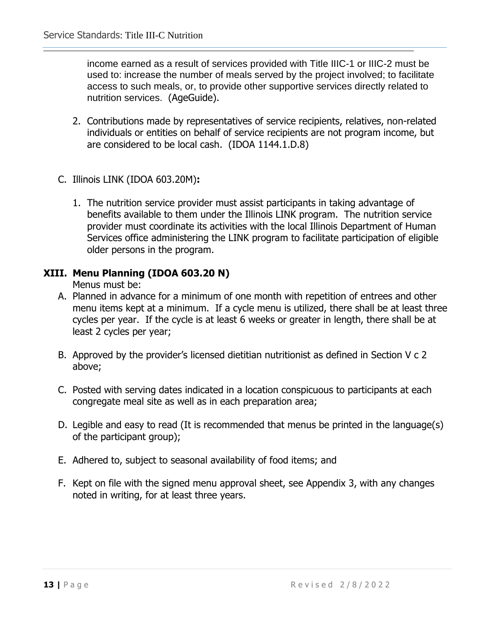income earned as a result of services provided with Title IIIC-1 or IIIC-2 must be used to: increase the number of meals served by the project involved; to facilitate access to such meals, or, to provide other supportive services directly related to nutrition services. (AgeGuide).

- 2. Contributions made by representatives of service recipients, relatives, non-related individuals or entities on behalf of service recipients are not program income, but are considered to be local cash. (IDOA 1144.1.D.8)
- C. Illinois LINK (IDOA 603.20M)**:** 
	- 1. The nutrition service provider must assist participants in taking advantage of benefits available to them under the Illinois LINK program. The nutrition service provider must coordinate its activities with the local Illinois Department of Human Services office administering the LINK program to facilitate participation of eligible older persons in the program.

# **XIII. Menu Planning (IDOA 603.20 N)**

Menus must be:

- A. Planned in advance for a minimum of one month with repetition of entrees and other menu items kept at a minimum. If a cycle menu is utilized, there shall be at least three cycles per year. If the cycle is at least 6 weeks or greater in length, there shall be at least 2 cycles per year;
- B. Approved by the provider's licensed dietitian nutritionist as defined in Section V c 2 above;
- C. Posted with serving dates indicated in a location conspicuous to participants at each congregate meal site as well as in each preparation area;
- D. Legible and easy to read (It is recommended that menus be printed in the language(s) of the participant group);
- E. Adhered to, subject to seasonal availability of food items; and
- F. Kept on file with the signed menu approval sheet, see Appendix 3, with any changes noted in writing, for at least three years.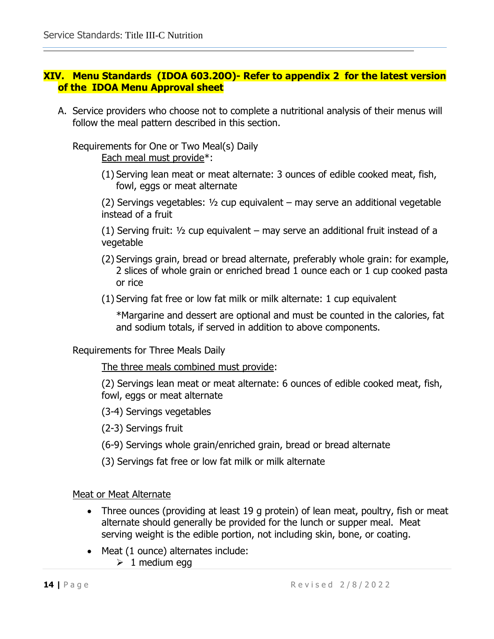# **XIV. Menu Standards (IDOA 603.20O)- Refer to appendix 2 for the latest version of the IDOA Menu Approval sheet**

A. Service providers who choose not to complete a nutritional analysis of their menus will follow the meal pattern described in this section.

Requirements for One or Two Meal(s) Daily Each meal must provide\*:

> (1) Serving lean meat or meat alternate: 3 ounces of edible cooked meat, fish, fowl, eggs or meat alternate

 $(2)$  Servings vegetables:  $\frac{1}{2}$  cup equivalent – may serve an additional vegetable instead of a fruit

(1) Serving fruit:  $\frac{1}{2}$  cup equivalent – may serve an additional fruit instead of a vegetable

- (2) Servings grain, bread or bread alternate, preferably whole grain: for example, 2 slices of whole grain or enriched bread 1 ounce each or 1 cup cooked pasta or rice
- (1) Serving fat free or low fat milk or milk alternate: 1 cup equivalent

\*Margarine and dessert are optional and must be counted in the calories, fat and sodium totals, if served in addition to above components.

Requirements for Three Meals Daily

The three meals combined must provide:

(2) Servings lean meat or meat alternate: 6 ounces of edible cooked meat, fish, fowl, eggs or meat alternate

(3-4) Servings vegetables

(2-3) Servings fruit

- (6-9) Servings whole grain/enriched grain, bread or bread alternate
- (3) Servings fat free or low fat milk or milk alternate

Meat or Meat Alternate

- Three ounces (providing at least 19 g protein) of lean meat, poultry, fish or meat alternate should generally be provided for the lunch or supper meal. Meat serving weight is the edible portion, not including skin, bone, or coating.
- Meat (1 ounce) alternates include:
	- $\geq 1$  medium egg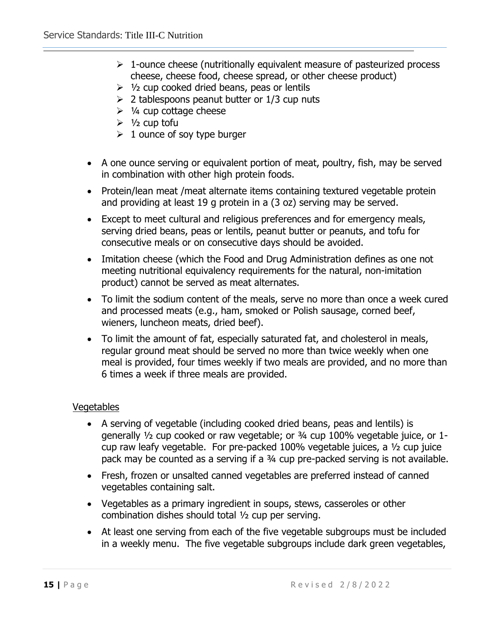- $\geq 1$ -ounce cheese (nutritionally equivalent measure of pasteurized process cheese, cheese food, cheese spread, or other cheese product)
- $\triangleright$  1/2 cup cooked dried beans, peas or lentils
- $\geq$  2 tablespoons peanut butter or 1/3 cup nuts
- $\geq$  1/4 cup cottage cheese
- $\geq 1/2$  cup tofu
- $\geq 1$  ounce of soy type burger
- A one ounce serving or equivalent portion of meat, poultry, fish, may be served in combination with other high protein foods.
- Protein/lean meat /meat alternate items containing textured vegetable protein and providing at least 19 g protein in a (3 oz) serving may be served.
- Except to meet cultural and religious preferences and for emergency meals, serving dried beans, peas or lentils, peanut butter or peanuts, and tofu for consecutive meals or on consecutive days should be avoided.
- Imitation cheese (which the Food and Drug Administration defines as one not meeting nutritional equivalency requirements for the natural, non-imitation product) cannot be served as meat alternates.
- To limit the sodium content of the meals, serve no more than once a week cured and processed meats (e.g., ham, smoked or Polish sausage, corned beef, wieners, luncheon meats, dried beef).
- To limit the amount of fat, especially saturated fat, and cholesterol in meals, regular ground meat should be served no more than twice weekly when one meal is provided, four times weekly if two meals are provided, and no more than 6 times a week if three meals are provided.

# Vegetables

- A serving of vegetable (including cooked dried beans, peas and lentils) is generally ½ cup cooked or raw vegetable; or ¾ cup 100% vegetable juice, or 1 cup raw leafy vegetable. For pre-packed 100% vegetable juices, a ½ cup juice pack may be counted as a serving if a ¾ cup pre-packed serving is not available.
- Fresh, frozen or unsalted canned vegetables are preferred instead of canned vegetables containing salt.
- Vegetables as a primary ingredient in soups, stews, casseroles or other combination dishes should total ½ cup per serving.
- At least one serving from each of the five vegetable subgroups must be included in a weekly menu. The five vegetable subgroups include dark green vegetables,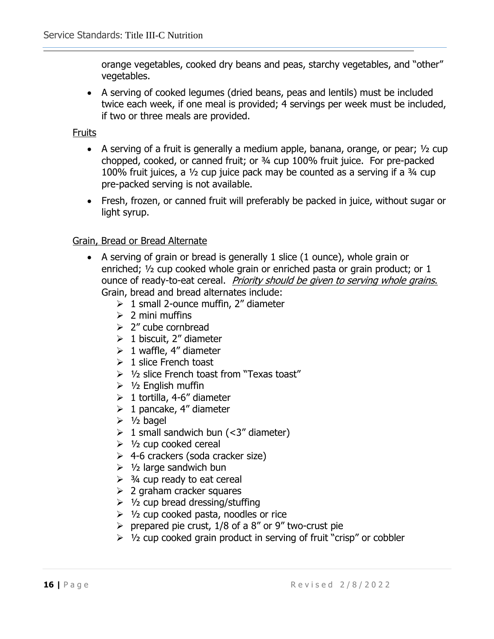orange vegetables, cooked dry beans and peas, starchy vegetables, and "other" vegetables.

• A serving of cooked legumes (dried beans, peas and lentils) must be included twice each week, if one meal is provided; 4 servings per week must be included, if two or three meals are provided.

Fruits

- A serving of a fruit is generally a medium apple, banana, orange, or pear;  $\frac{1}{2}$  cup chopped, cooked, or canned fruit; or ¾ cup 100% fruit juice. For pre-packed 100% fruit juices, a  $\frac{1}{2}$  cup juice pack may be counted as a serving if a  $\frac{3}{4}$  cup pre-packed serving is not available.
- Fresh, frozen, or canned fruit will preferably be packed in juice, without sugar or light syrup.

# Grain, Bread or Bread Alternate

- A serving of grain or bread is generally 1 slice (1 ounce), whole grain or enriched; ½ cup cooked whole grain or enriched pasta or grain product; or 1 ounce of ready-to-eat cereal. Priority should be given to serving whole grains. Grain, bread and bread alternates include:
	- $\geq 1$  small 2-ounce muffin, 2" diameter
	- $\geqslant$  2 mini muffins
	- $\geq$  2" cube cornbread
	- $\geq 1$  biscuit, 2" diameter
	- $\geq 1$  waffle, 4" diameter
	- $\geq 1$  slice French toast
	- $\geq 1/2$  slice French toast from "Texas toast"
	- $\geq 1/2$  English muffin
	- $\geq 1$  tortilla, 4-6" diameter
	- $\geq 1$  pancake, 4" diameter
	- $\geq 1/2$  bagel
	- $\geq 1$  small sandwich bun (<3" diameter)
	- $\geq$  1/2 cup cooked cereal
	- $\geq$  4-6 crackers (soda cracker size)
	- $\geq 1/2$  large sandwich bun
	- $\geq$  3/4 cup ready to eat cereal
	- $\geq$  2 graham cracker squares
	- $\geq 1/2$  cup bread dressing/stuffing
	- $\geq$  1/2 cup cooked pasta, noodles or rice
	- $\triangleright$  prepared pie crust, 1/8 of a 8" or 9" two-crust pie
	- $\geq 1/2$  cup cooked grain product in serving of fruit "crisp" or cobbler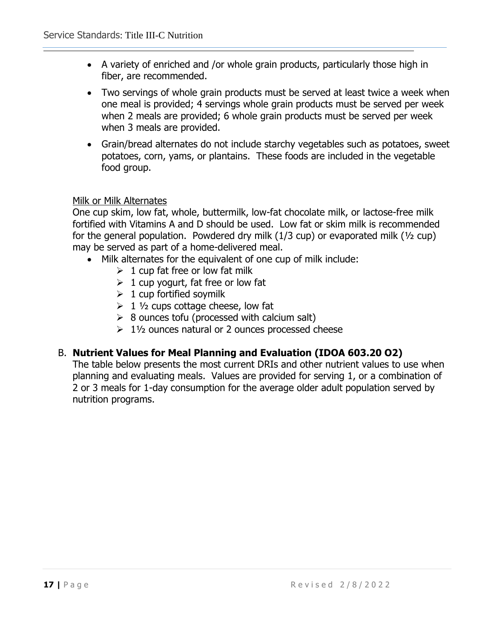- A variety of enriched and /or whole grain products, particularly those high in fiber, are recommended.
- Two servings of whole grain products must be served at least twice a week when one meal is provided; 4 servings whole grain products must be served per week when 2 meals are provided; 6 whole grain products must be served per week when 3 meals are provided.
- Grain/bread alternates do not include starchy vegetables such as potatoes, sweet potatoes, corn, yams, or plantains. These foods are included in the vegetable food group.

# Milk or Milk Alternates

One cup skim, low fat, whole, buttermilk, low-fat chocolate milk, or lactose-free milk fortified with Vitamins A and D should be used. Low fat or skim milk is recommended for the general population. Powdered dry milk (1/3 cup) or evaporated milk (½ cup) may be served as part of a home-delivered meal.

- Milk alternates for the equivalent of one cup of milk include:
	- $\geq 1$  cup fat free or low fat milk
	- $\geq 1$  cup yogurt, fat free or low fat
	- $\geq 1$  cup fortified soymilk
	- $\geq 1$  1/2 cups cottage cheese, low fat
	- $\geq 8$  ounces tofu (processed with calcium salt)
	- $\geq 1\frac{1}{2}$  ounces natural or 2 ounces processed cheese

# B. **Nutrient Values for Meal Planning and Evaluation (IDOA 603.20 O2)**

The table below presents the most current DRIs and other nutrient values to use when planning and evaluating meals. Values are provided for serving 1, or a combination of 2 or 3 meals for 1-day consumption for the average older adult population served by nutrition programs.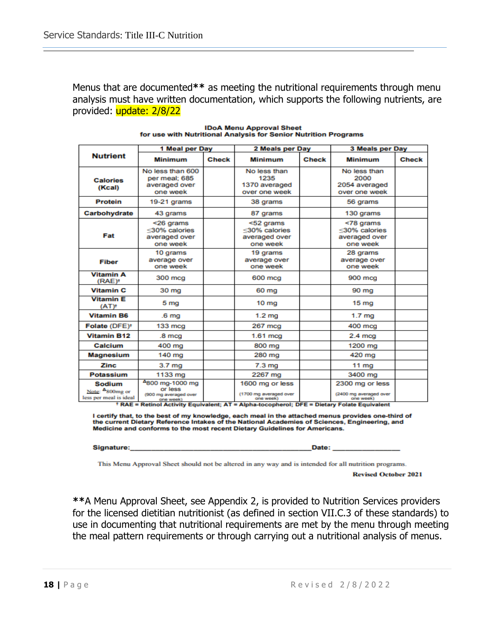Menus that are documented**\*\*** as meeting the nutritional requirements through menu analysis must have written documentation, which supports the following nutrients, are provided: update: 2/8/22

|                                                            | 1 Meal per Day                                                   |       | 2 Meals per Day                                         |              | 3 Meals per Day                                         |       |
|------------------------------------------------------------|------------------------------------------------------------------|-------|---------------------------------------------------------|--------------|---------------------------------------------------------|-------|
| <b>Nutrient</b>                                            | <b>Minimum</b>                                                   | Check | <b>Minimum</b>                                          | <b>Check</b> | <b>Minimum</b>                                          | Check |
| <b>Calories</b><br>(Kcal)                                  | No less than 600<br>per meal: 685<br>averaged over<br>one week   |       | No less than<br>1235<br>1370 averaged<br>over one week  |              | No less than<br>2000<br>2054 averaged<br>over one week  |       |
| <b>Protein</b>                                             | 19-21 grams                                                      |       | 38 grams                                                |              | 56 grams                                                |       |
| Carbohydrate                                               | 43 grams                                                         |       | 87 grams                                                |              | 130 grams                                               |       |
| Fat                                                        | <26 grams<br><30% calories<br>averaged over<br>one week          |       | <52 grams<br><30% calories<br>averaged over<br>one week |              | <78 grams<br><30% calories<br>averaged over<br>one week |       |
| Fiber                                                      | 10 grams<br>average over<br>one week                             |       | 19 grams<br>average over<br>one week                    |              | 28 grams<br>average over<br>one week                    |       |
| <b>Vitamin A</b><br>(RAE) <sup>+</sup>                     | 300 mcg                                                          |       | 600 mcg                                                 |              | 900 mcg                                                 |       |
| <b>Vitamin C</b>                                           | 30 mg                                                            |       | 60 mg                                                   |              | 90 mg                                                   |       |
| <b>Vitamin E</b><br>$(AT)^+$                               | 5 mg                                                             |       | 10 <sub>mg</sub>                                        |              | 15 <sub>mg</sub>                                        |       |
| <b>Vitamin B6</b>                                          | .6 <sub>mq</sub>                                                 |       | 1.2 <sub>ma</sub>                                       |              | 1.7 <sub>mq</sub>                                       |       |
| Folate (DFE) <sup>+</sup>                                  | $133 \text{ mcg}$                                                |       | 267 mcg                                                 |              | 400 mcg                                                 |       |
| <b>Vitamin B12</b>                                         | .8 <sub>mcg</sub>                                                |       | $1.61$ mcg                                              |              | $2.4 \text{ mca}$                                       |       |
| Calcium                                                    | 400 mg                                                           |       | 800 mg                                                  |              | 1200 mg                                                 |       |
| <b>Magnesium</b>                                           | 140 mg                                                           |       | 280 mg                                                  |              | 420 mg                                                  |       |
| <b>Zinc</b>                                                | 3.7 <sub>mg</sub>                                                |       | 7.3 <sub>mg</sub>                                       |              | 11 $mg$                                                 |       |
| <b>Potassium</b>                                           | 1133 mg                                                          |       | 2267 mg                                                 |              | 3400 mg                                                 |       |
| <b>Sodium</b><br>Note: 4800mg or<br>less per meal is ideal | 4800 mg-1000 mg<br>or less<br>(900 mg averaged over<br>one week) |       | 1600 mg or less<br>(1700 mg averaged over<br>one week)  |              | 2300 mg or less<br>(2400 mg averaged over<br>one week)  |       |

**IDoA Menu Approval Sheet** for use with Nutritional Analysis for Senior Nutrition Programs

\* RAE = Retinol Activity Equivalent; AT = Alpha-tocopherol; DFE = Dietary Folate Equivalent

I certify that, to the best of my knowledge, each meal in the attached menus provides one-third of<br>the current Dietary Reference Intakes of the National Academies of Sciences, Engineering, and Medicine and conforms to the most recent Dietary Guidelines for Americans.

Signature:

Date:

This Menu Approval Sheet should not be altered in any way and is intended for all nutrition programs.

**Revised October 2021** 

**\*\***A Menu Approval Sheet, see Appendix 2, is provided to Nutrition Services providers for the licensed dietitian nutritionist (as defined in section VII.C.3 of these standards) to use in documenting that nutritional requirements are met by the menu through meeting the meal pattern requirements or through carrying out a nutritional analysis of menus.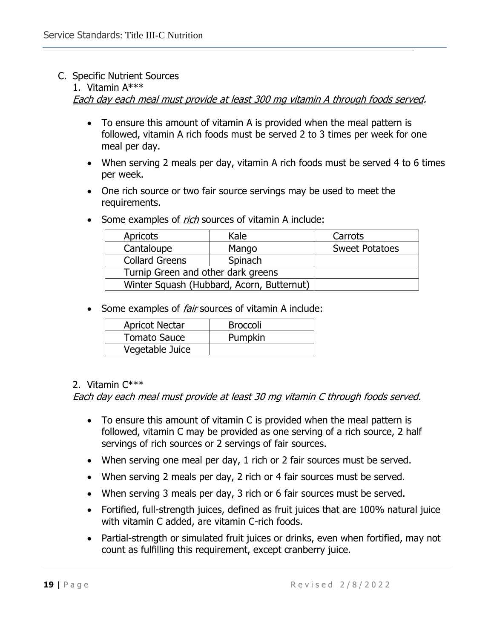# C. Specific Nutrient Sources

# 1. Vitamin A\*\*\*

Each day each meal must provide at least 300 mg vitamin A through foods served.

- To ensure this amount of vitamin A is provided when the meal pattern is followed, vitamin A rich foods must be served 2 to 3 times per week for one meal per day.
- When serving 2 meals per day, vitamin A rich foods must be served 4 to 6 times per week.
- One rich source or two fair source servings may be used to meet the requirements.
- Some examples of *rich* sources of vitamin A include:

| <b>Apricots</b>                           | Kale  | Carrots               |
|-------------------------------------------|-------|-----------------------|
| Cantaloupe                                | Mango | <b>Sweet Potatoes</b> |
| <b>Collard Greens</b>                     |       |                       |
| Turnip Green and other dark greens        |       |                       |
| Winter Squash (Hubbard, Acorn, Butternut) |       |                       |

• Some examples of *fair* sources of vitamin A include:

| <b>Apricot Nectar</b> | <b>Broccoli</b> |
|-----------------------|-----------------|
| <b>Tomato Sauce</b>   | Pumpkin         |
| Vegetable Juice       |                 |

# 2. Vitamin C\*\*\*

Each day each meal must provide at least 30 mg vitamin C through foods served.

- To ensure this amount of vitamin C is provided when the meal pattern is followed, vitamin C may be provided as one serving of a rich source, 2 half servings of rich sources or 2 servings of fair sources.
- When serving one meal per day, 1 rich or 2 fair sources must be served.
- When serving 2 meals per day, 2 rich or 4 fair sources must be served.
- When serving 3 meals per day, 3 rich or 6 fair sources must be served.
- Fortified, full-strength juices, defined as fruit juices that are 100% natural juice with vitamin C added, are vitamin C-rich foods.
- Partial-strength or simulated fruit juices or drinks, even when fortified, may not count as fulfilling this requirement, except cranberry juice.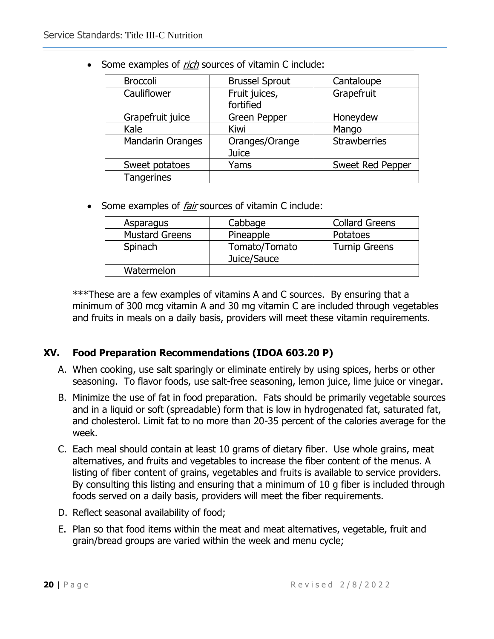| <b>Broccoli</b>         | <b>Brussel Sprout</b> | Cantaloupe          |  |
|-------------------------|-----------------------|---------------------|--|
| Cauliflower             | Fruit juices,         | Grapefruit          |  |
|                         | fortified             |                     |  |
| Grapefruit juice        | <b>Green Pepper</b>   | Honeydew            |  |
| Kale                    | Kiwi                  | Mango               |  |
| <b>Mandarin Oranges</b> | Oranges/Orange        | <b>Strawberries</b> |  |
|                         | Juice                 |                     |  |
| Sweet potatoes          | Yams                  | Sweet Red Pepper    |  |
| <b>Tangerines</b>       |                       |                     |  |

• Some examples of *rich* sources of vitamin C include:

• Some examples of *fair* sources of vitamin C include:

| Asparagus             | Cabbage                      | <b>Collard Greens</b> |
|-----------------------|------------------------------|-----------------------|
| <b>Mustard Greens</b> | Pineapple                    | <b>Potatoes</b>       |
| Spinach               | Tomato/Tomato<br>Juice/Sauce | <b>Turnip Greens</b>  |
| Watermelon            |                              |                       |

\*\*\*These are a few examples of vitamins A and C sources. By ensuring that a minimum of 300 mcg vitamin A and 30 mg vitamin C are included through vegetables and fruits in meals on a daily basis, providers will meet these vitamin requirements.

# **XV. Food Preparation Recommendations (IDOA 603.20 P)**

- A. When cooking, use salt sparingly or eliminate entirely by using spices, herbs or other seasoning. To flavor foods, use salt-free seasoning, lemon juice, lime juice or vinegar.
- B. Minimize the use of fat in food preparation. Fats should be primarily vegetable sources and in a liquid or soft (spreadable) form that is low in hydrogenated fat, saturated fat, and cholesterol. Limit fat to no more than 20-35 percent of the calories average for the week.
- C. Each meal should contain at least 10 grams of dietary fiber. Use whole grains, meat alternatives, and fruits and vegetables to increase the fiber content of the menus. A listing of fiber content of grains, vegetables and fruits is available to service providers. By consulting this listing and ensuring that a minimum of 10 g fiber is included through foods served on a daily basis, providers will meet the fiber requirements.
- D. Reflect seasonal availability of food;
- E. Plan so that food items within the meat and meat alternatives, vegetable, fruit and grain/bread groups are varied within the week and menu cycle;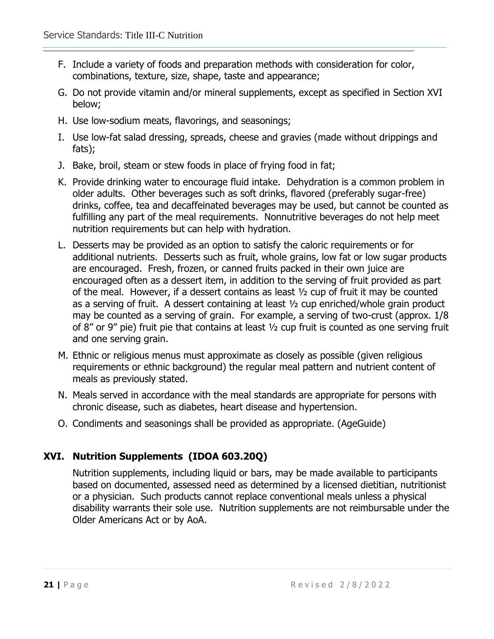- F. Include a variety of foods and preparation methods with consideration for color, combinations, texture, size, shape, taste and appearance;
- G. Do not provide vitamin and/or mineral supplements, except as specified in Section XVI below;
- H. Use low-sodium meats, flavorings, and seasonings;
- I. Use low-fat salad dressing, spreads, cheese and gravies (made without drippings and fats);
- J. Bake, broil, steam or stew foods in place of frying food in fat;
- K. Provide drinking water to encourage fluid intake. Dehydration is a common problem in older adults. Other beverages such as soft drinks, flavored (preferably sugar-free) drinks, coffee, tea and decaffeinated beverages may be used, but cannot be counted as fulfilling any part of the meal requirements. Nonnutritive beverages do not help meet nutrition requirements but can help with hydration.
- L. Desserts may be provided as an option to satisfy the caloric requirements or for additional nutrients. Desserts such as fruit, whole grains, low fat or low sugar products are encouraged. Fresh, frozen, or canned fruits packed in their own juice are encouraged often as a dessert item, in addition to the serving of fruit provided as part of the meal. However, if a dessert contains as least ½ cup of fruit it may be counted as a serving of fruit. A dessert containing at least ½ cup enriched/whole grain product may be counted as a serving of grain. For example, a serving of two-crust (approx. 1/8 of 8" or 9" pie) fruit pie that contains at least ½ cup fruit is counted as one serving fruit and one serving grain.
- M. Ethnic or religious menus must approximate as closely as possible (given religious requirements or ethnic background) the regular meal pattern and nutrient content of meals as previously stated.
- N. Meals served in accordance with the meal standards are appropriate for persons with chronic disease, such as diabetes, heart disease and hypertension.
- O. Condiments and seasonings shall be provided as appropriate. (AgeGuide)

# **XVI. Nutrition Supplements (IDOA 603.20Q)**

Nutrition supplements, including liquid or bars, may be made available to participants based on documented, assessed need as determined by a licensed dietitian, nutritionist or a physician. Such products cannot replace conventional meals unless a physical disability warrants their sole use. Nutrition supplements are not reimbursable under the Older Americans Act or by AoA.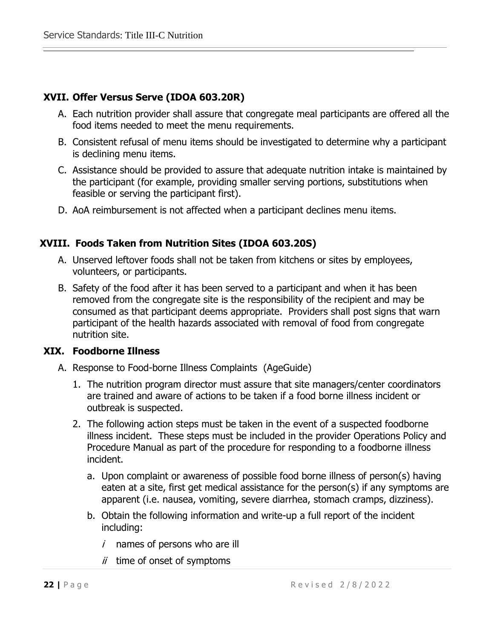# **XVII. Offer Versus Serve (IDOA 603.20R)**

- A. Each nutrition provider shall assure that congregate meal participants are offered all the food items needed to meet the menu requirements.
- B. Consistent refusal of menu items should be investigated to determine why a participant is declining menu items.
- C. Assistance should be provided to assure that adequate nutrition intake is maintained by the participant (for example, providing smaller serving portions, substitutions when feasible or serving the participant first).
- D. AoA reimbursement is not affected when a participant declines menu items.

# **XVIII. Foods Taken from Nutrition Sites (IDOA 603.20S)**

- A. Unserved leftover foods shall not be taken from kitchens or sites by employees, volunteers, or participants.
- B. Safety of the food after it has been served to a participant and when it has been removed from the congregate site is the responsibility of the recipient and may be consumed as that participant deems appropriate. Providers shall post signs that warn participant of the health hazards associated with removal of food from congregate nutrition site.

# **XIX. Foodborne Illness**

- A. Response to Food-borne Illness Complaints (AgeGuide)
	- 1. The nutrition program director must assure that site managers/center coordinators are trained and aware of actions to be taken if a food borne illness incident or outbreak is suspected.
	- 2. The following action steps must be taken in the event of a suspected foodborne illness incident. These steps must be included in the provider Operations Policy and Procedure Manual as part of the procedure for responding to a foodborne illness incident.
		- a. Upon complaint or awareness of possible food borne illness of person(s) having eaten at a site, first get medical assistance for the person(s) if any symptoms are apparent (i.e. nausea, vomiting, severe diarrhea, stomach cramps, dizziness).
		- b. Obtain the following information and write-up a full report of the incident including:
			- $i$  names of persons who are ill
			- $ii$  time of onset of symptoms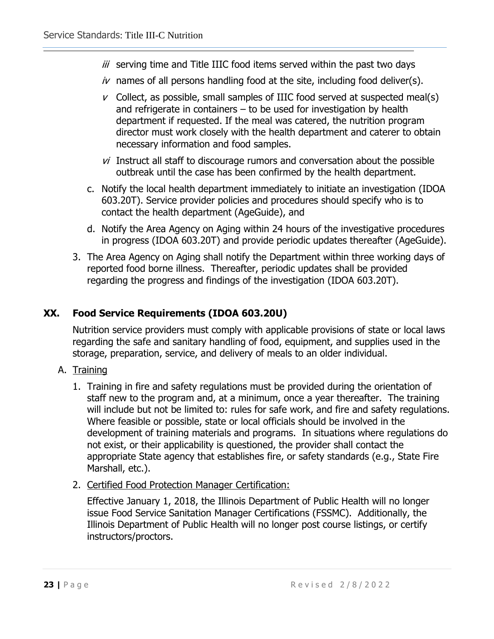- iii serving time and Title IIIC food items served within the past two days
- $iv$  names of all persons handling food at the site, including food deliver(s).
- $\nu$  Collect, as possible, small samples of IIIC food served at suspected meal(s) and refrigerate in containers – to be used for investigation by health department if requested. If the meal was catered, the nutrition program director must work closely with the health department and caterer to obtain necessary information and food samples.
- $vi$  Instruct all staff to discourage rumors and conversation about the possible outbreak until the case has been confirmed by the health department.
- c. Notify the local health department immediately to initiate an investigation (IDOA 603.20T). Service provider policies and procedures should specify who is to contact the health department (AgeGuide), and
- d. Notify the Area Agency on Aging within 24 hours of the investigative procedures in progress (IDOA 603.20T) and provide periodic updates thereafter (AgeGuide).
- 3. The Area Agency on Aging shall notify the Department within three working days of reported food borne illness. Thereafter, periodic updates shall be provided regarding the progress and findings of the investigation (IDOA 603.20T).

# **XX. Food Service Requirements (IDOA 603.20U)**

Nutrition service providers must comply with applicable provisions of state or local laws regarding the safe and sanitary handling of food, equipment, and supplies used in the storage, preparation, service, and delivery of meals to an older individual.

- A. Training
	- 1. Training in fire and safety regulations must be provided during the orientation of staff new to the program and, at a minimum, once a year thereafter. The training will include but not be limited to: rules for safe work, and fire and safety regulations. Where feasible or possible, state or local officials should be involved in the development of training materials and programs. In situations where regulations do not exist, or their applicability is questioned, the provider shall contact the appropriate State agency that establishes fire, or safety standards (e.g., State Fire Marshall, etc.).
	- 2. Certified Food Protection Manager Certification:

Effective January 1, 2018, the Illinois Department of Public Health will no longer issue Food Service Sanitation Manager Certifications (FSSMC). Additionally, the Illinois Department of Public Health will no longer post course listings, or certify instructors/proctors.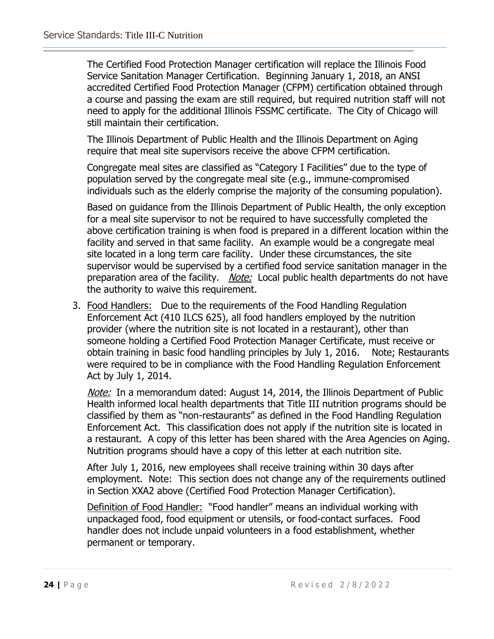The Certified Food Protection Manager certification will replace the Illinois Food Service Sanitation Manager Certification. Beginning January 1, 2018, an ANSI accredited Certified Food Protection Manager (CFPM) certification obtained through a course and passing the exam are still required, but required nutrition staff will not need to apply for the additional Illinois FSSMC certificate. The City of Chicago will still maintain their certification.

The Illinois Department of Public Health and the Illinois Department on Aging require that meal site supervisors receive the above CFPM certification.

Congregate meal sites are classified as "Category I Facilities" due to the type of population served by the congregate meal site (e.g., immune-compromised individuals such as the elderly comprise the majority of the consuming population).

Based on guidance from the Illinois Department of Public Health, the only exception for a meal site supervisor to not be required to have successfully completed the above certification training is when food is prepared in a different location within the facility and served in that same facility. An example would be a congregate meal site located in a long term care facility. Under these circumstances, the site supervisor would be supervised by a certified food service sanitation manager in the preparation area of the facility. Note: Local public health departments do not have the authority to waive this requirement.

3. Food Handlers: Due to the requirements of the Food Handling Regulation Enforcement Act (410 ILCS 625), all food handlers employed by the nutrition provider (where the nutrition site is not located in a restaurant), other than someone holding a Certified Food Protection Manager Certificate, must receive or obtain training in basic food handling principles by July 1, 2016. Note; Restaurants were required to be in compliance with the Food Handling Regulation Enforcement Act by July 1, 2014.

Note: In a memorandum dated: August 14, 2014, the Illinois Department of Public Health informed local health departments that Title III nutrition programs should be classified by them as "non-restaurants" as defined in the Food Handling Regulation Enforcement Act. This classification does not apply if the nutrition site is located in a restaurant. A copy of this letter has been shared with the Area Agencies on Aging. Nutrition programs should have a copy of this letter at each nutrition site.

After July 1, 2016, new employees shall receive training within 30 days after employment. Note: This section does not change any of the requirements outlined in Section XXA2 above (Certified Food Protection Manager Certification).

Definition of Food Handler: "Food handler" means an individual working with unpackaged food, food equipment or utensils, or food-contact surfaces. Food handler does not include unpaid volunteers in a food establishment, whether permanent or temporary.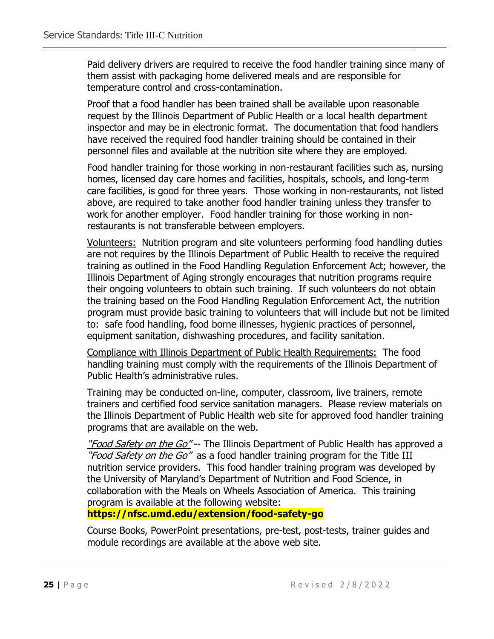Paid delivery drivers are required to receive the food handler training since many of them assist with packaging home delivered meals and are responsible for temperature control and cross-contamination.

Proof that a food handler has been trained shall be available upon reasonable request by the Illinois Department of Public Health or a local health department inspector and may be in electronic format. The documentation that food handlers have received the required food handler training should be contained in their personnel files and available at the nutrition site where they are employed.

Food handler training for those working in non-restaurant facilities such as, nursing homes, licensed day care homes and facilities, hospitals, schools, and long-term care facilities, is good for three years. Those working in non-restaurants, not listed above, are required to take another food handler training unless they transfer to work for another employer. Food handler training for those working in nonrestaurants is not transferable between employers.

Volunteers: Nutrition program and site volunteers performing food handling duties are not requires by the Illinois Department of Public Health to receive the required training as outlined in the Food Handling Regulation Enforcement Act; however, the Illinois Department of Aging strongly encourages that nutrition programs require their ongoing volunteers to obtain such training. If such volunteers do not obtain the training based on the Food Handling Regulation Enforcement Act, the nutrition program must provide basic training to volunteers that will include but not be limited to: safe food handling, food borne illnesses, hygienic practices of personnel, equipment sanitation, dishwashing procedures, and facility sanitation.

Compliance with Illinois Department of Public Health Requirements: The food handling training must comply with the requirements of the Illinois Department of Public Health's administrative rules.

Training may be conducted on-line, computer, classroom, live trainers, remote trainers and certified food service sanitation managers. Please review materials on the Illinois Department of Public Health web site for approved food handler training programs that are available on the web.

"Food Safety on the Go"-- The Illinois Department of Public Health has approved a "Food Safety on the Go" as a food handler training program for the Title III nutrition service providers. This food handler training program was developed by the University of Maryland's Department of Nutrition and Food Science, in collaboration with the Meals on Wheels Association of America. This training program is available at the following website:

**https://nfsc.umd.edu/extension/food-safety-go**

Course Books, PowerPoint presentations, pre-test, post-tests, trainer guides and module recordings are available at the above web site.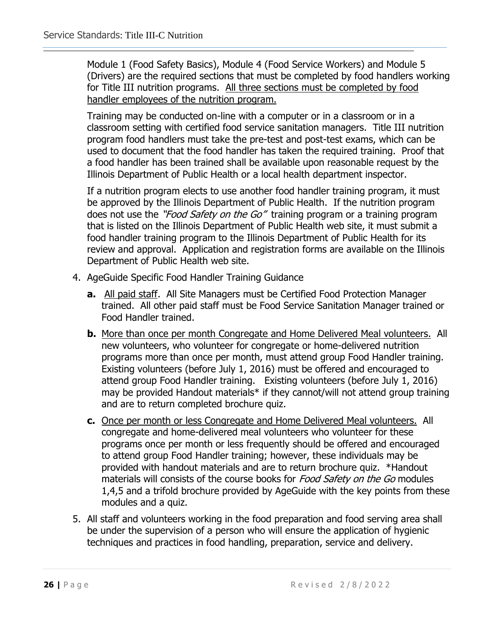Module 1 (Food Safety Basics), Module 4 (Food Service Workers) and Module 5 (Drivers) are the required sections that must be completed by food handlers working for Title III nutrition programs. All three sections must be completed by food handler employees of the nutrition program.

Training may be conducted on-line with a computer or in a classroom or in a classroom setting with certified food service sanitation managers. Title III nutrition program food handlers must take the pre-test and post-test exams, which can be used to document that the food handler has taken the required training. Proof that a food handler has been trained shall be available upon reasonable request by the Illinois Department of Public Health or a local health department inspector.

If a nutrition program elects to use another food handler training program, it must be approved by the Illinois Department of Public Health. If the nutrition program does not use the "*Food Safety on the Go"* training program or a training program that is listed on the Illinois Department of Public Health web site, it must submit a food handler training program to the Illinois Department of Public Health for its review and approval. Application and registration forms are available on the Illinois Department of Public Health web site.

- 4. AgeGuide Specific Food Handler Training Guidance
	- **a.** All paid staff. All Site Managers must be Certified Food Protection Manager trained. All other paid staff must be Food Service Sanitation Manager trained or Food Handler trained.
	- **b.** More than once per month Congregate and Home Delivered Meal volunteers. All new volunteers, who volunteer for congregate or home-delivered nutrition programs more than once per month, must attend group Food Handler training. Existing volunteers (before July 1, 2016) must be offered and encouraged to attend group Food Handler training. Existing volunteers (before July 1, 2016) may be provided Handout materials\* if they cannot/will not attend group training and are to return completed brochure quiz.
	- **c.** Once per month or less Congregate and Home Delivered Meal volunteers. All congregate and home-delivered meal volunteers who volunteer for these programs once per month or less frequently should be offered and encouraged to attend group Food Handler training; however, these individuals may be provided with handout materials and are to return brochure quiz. \*Handout materials will consists of the course books for *Food Safety on the Go* modules 1,4,5 and a trifold brochure provided by AgeGuide with the key points from these modules and a quiz.
- 5. All staff and volunteers working in the food preparation and food serving area shall be under the supervision of a person who will ensure the application of hygienic techniques and practices in food handling, preparation, service and delivery.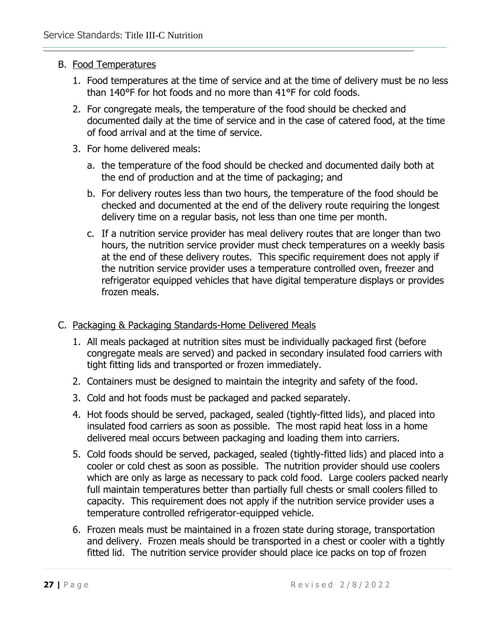# B. Food Temperatures

- 1. Food temperatures at the time of service and at the time of delivery must be no less than 140°F for hot foods and no more than 41°F for cold foods.
- 2. For congregate meals, the temperature of the food should be checked and documented daily at the time of service and in the case of catered food, at the time of food arrival and at the time of service.
- 3. For home delivered meals:
	- a. the temperature of the food should be checked and documented daily both at the end of production and at the time of packaging; and
	- b. For delivery routes less than two hours, the temperature of the food should be checked and documented at the end of the delivery route requiring the longest delivery time on a regular basis, not less than one time per month.
	- c. If a nutrition service provider has meal delivery routes that are longer than two hours, the nutrition service provider must check temperatures on a weekly basis at the end of these delivery routes. This specific requirement does not apply if the nutrition service provider uses a temperature controlled oven, freezer and refrigerator equipped vehicles that have digital temperature displays or provides frozen meals.

# C. Packaging & Packaging Standards-Home Delivered Meals

- 1. All meals packaged at nutrition sites must be individually packaged first (before congregate meals are served) and packed in secondary insulated food carriers with tight fitting lids and transported or frozen immediately.
- 2. Containers must be designed to maintain the integrity and safety of the food.
- 3. Cold and hot foods must be packaged and packed separately.
- 4. Hot foods should be served, packaged, sealed (tightly-fitted lids), and placed into insulated food carriers as soon as possible. The most rapid heat loss in a home delivered meal occurs between packaging and loading them into carriers.
- 5. Cold foods should be served, packaged, sealed (tightly-fitted lids) and placed into a cooler or cold chest as soon as possible. The nutrition provider should use coolers which are only as large as necessary to pack cold food. Large coolers packed nearly full maintain temperatures better than partially full chests or small coolers filled to capacity. This requirement does not apply if the nutrition service provider uses a temperature controlled refrigerator-equipped vehicle.
- 6. Frozen meals must be maintained in a frozen state during storage, transportation and delivery. Frozen meals should be transported in a chest or cooler with a tightly fitted lid. The nutrition service provider should place ice packs on top of frozen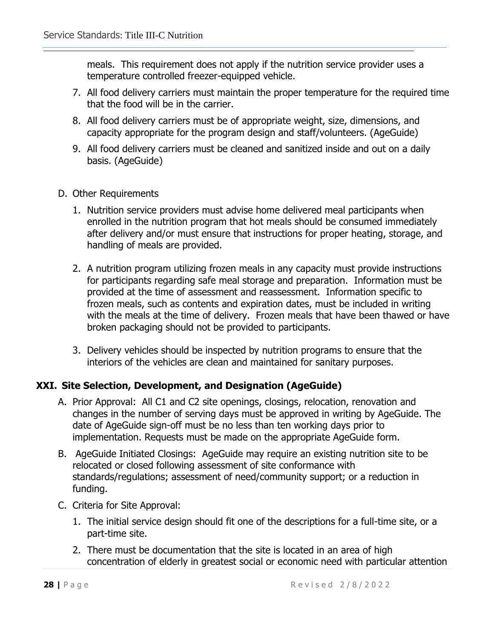meals. This requirement does not apply if the nutrition service provider uses a temperature controlled freezer-equipped vehicle.

- 7. All food delivery carriers must maintain the proper temperature for the required time that the food will be in the carrier.
- 8. All food delivery carriers must be of appropriate weight, size, dimensions, and capacity appropriate for the program design and staff/volunteers. (AgeGuide)
- 9. All food delivery carriers must be cleaned and sanitized inside and out on a daily basis. (AgeGuide)
- D. Other Requirements
	- 1. Nutrition service providers must advise home delivered meal participants when enrolled in the nutrition program that hot meals should be consumed immediately after delivery and/or must ensure that instructions for proper heating, storage, and handling of meals are provided.
	- 2. A nutrition program utilizing frozen meals in any capacity must provide instructions for participants regarding safe meal storage and preparation. Information must be provided at the time of assessment and reassessment. Information specific to frozen meals, such as contents and expiration dates, must be included in writing with the meals at the time of delivery. Frozen meals that have been thawed or have broken packaging should not be provided to participants.
	- 3. Delivery vehicles should be inspected by nutrition programs to ensure that the interiors of the vehicles are clean and maintained for sanitary purposes.

# **XXI. Site Selection, Development, and Designation (AgeGuide)**

- A. Prior Approval: All C1 and C2 site openings, closings, relocation, renovation and changes in the number of serving days must be approved in writing by AgeGuide. The date of AgeGuide sign-off must be no less than ten working days prior to implementation. Requests must be made on the appropriate AgeGuide form.
- B. AgeGuide Initiated Closings: AgeGuide may require an existing nutrition site to be relocated or closed following assessment of site conformance with standards/regulations; assessment of need/community support; or a reduction in funding.
- C. Criteria for Site Approval:
	- 1. The initial service design should fit one of the descriptions for a full-time site, or a part-time site.
	- 2. There must be documentation that the site is located in an area of high concentration of elderly in greatest social or economic need with particular attention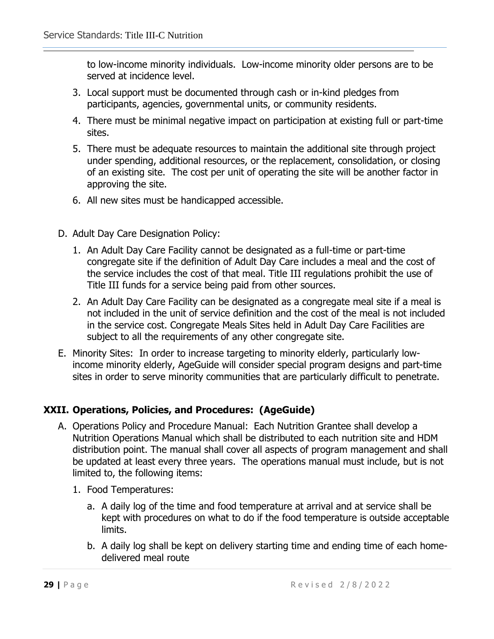to low-income minority individuals. Low-income minority older persons are to be served at incidence level.

- 3. Local support must be documented through cash or in-kind pledges from participants, agencies, governmental units, or community residents.
- 4. There must be minimal negative impact on participation at existing full or part-time sites.
- 5. There must be adequate resources to maintain the additional site through project under spending, additional resources, or the replacement, consolidation, or closing of an existing site. The cost per unit of operating the site will be another factor in approving the site.
- 6. All new sites must be handicapped accessible.
- D. Adult Day Care Designation Policy:
	- 1. An Adult Day Care Facility cannot be designated as a full-time or part-time congregate site if the definition of Adult Day Care includes a meal and the cost of the service includes the cost of that meal. Title III regulations prohibit the use of Title III funds for a service being paid from other sources.
	- 2. An Adult Day Care Facility can be designated as a congregate meal site if a meal is not included in the unit of service definition and the cost of the meal is not included in the service cost. Congregate Meals Sites held in Adult Day Care Facilities are subject to all the requirements of any other congregate site.
- E. Minority Sites: In order to increase targeting to minority elderly, particularly lowincome minority elderly, AgeGuide will consider special program designs and part-time sites in order to serve minority communities that are particularly difficult to penetrate.

# **XXII. Operations, Policies, and Procedures: (AgeGuide)**

- A. Operations Policy and Procedure Manual:Each Nutrition Grantee shall develop a Nutrition Operations Manual which shall be distributed to each nutrition site and HDM distribution point. The manual shall cover all aspects of program management and shall be updated at least every three years. The operations manual must include, but is not limited to, the following items:
	- 1. Food Temperatures:
		- a. A daily log of the time and food temperature at arrival and at service shall be kept with procedures on what to do if the food temperature is outside acceptable limits.
		- b. A daily log shall be kept on delivery starting time and ending time of each homedelivered meal route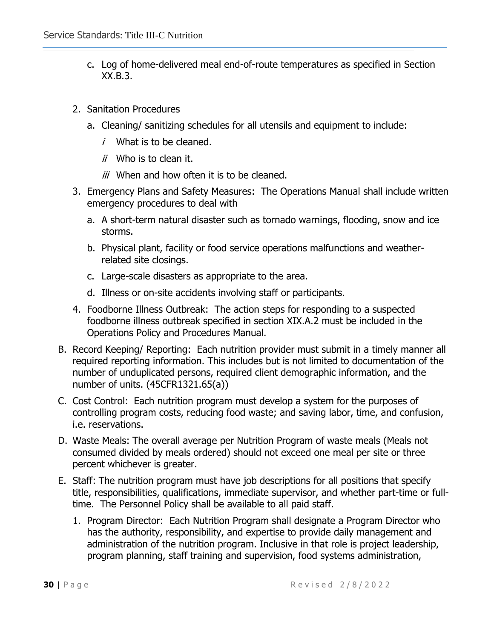- c. Log of home-delivered meal end-of-route temperatures as specified in Section XX.B.3.
- 2. Sanitation Procedures
	- a. Cleaning/ sanitizing schedules for all utensils and equipment to include:
		- $i$  What is to be cleaned.
		- $ii$  Who is to clean it.
		- $iii$  When and how often it is to be cleaned.
- 3. Emergency Plans and Safety Measures: The Operations Manual shall include written emergency procedures to deal with
	- a. A short-term natural disaster such as tornado warnings, flooding, snow and ice storms.
	- b. Physical plant, facility or food service operations malfunctions and weatherrelated site closings.
	- c. Large-scale disasters as appropriate to the area.
	- d. Illness or on-site accidents involving staff or participants.
- 4. Foodborne Illness Outbreak: The action steps for responding to a suspected foodborne illness outbreak specified in section XIX.A.2 must be included in the Operations Policy and Procedures Manual.
- B. Record Keeping/ Reporting: Each nutrition provider must submit in a timely manner all required reporting information. This includes but is not limited to documentation of the number of unduplicated persons, required client demographic information, and the number of units. (45CFR1321.65(a))
- C. Cost Control: Each nutrition program must develop a system for the purposes of controlling program costs, reducing food waste; and saving labor, time, and confusion, i.e. reservations.
- D. Waste Meals: The overall average per Nutrition Program of waste meals (Meals not consumed divided by meals ordered) should not exceed one meal per site or three percent whichever is greater.
- E. Staff: The nutrition program must have job descriptions for all positions that specify title, responsibilities, qualifications, immediate supervisor, and whether part-time or fulltime. The Personnel Policy shall be available to all paid staff.
	- 1. Program Director: Each Nutrition Program shall designate a Program Director who has the authority, responsibility, and expertise to provide daily management and administration of the nutrition program. Inclusive in that role is project leadership, program planning, staff training and supervision, food systems administration,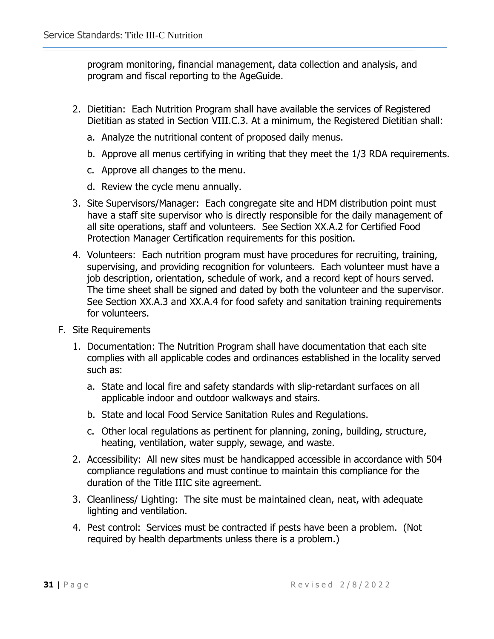program monitoring, financial management, data collection and analysis, and program and fiscal reporting to the AgeGuide.

- 2. Dietitian: Each Nutrition Program shall have available the services of Registered Dietitian as stated in Section VIII.C.3. At a minimum, the Registered Dietitian shall:
	- a. Analyze the nutritional content of proposed daily menus.
	- b. Approve all menus certifying in writing that they meet the 1/3 RDA requirements.
	- c. Approve all changes to the menu.
	- d. Review the cycle menu annually.
- 3. Site Supervisors/Manager: Each congregate site and HDM distribution point must have a staff site supervisor who is directly responsible for the daily management of all site operations, staff and volunteers. See Section XX.A.2 for Certified Food Protection Manager Certification requirements for this position.
- 4. Volunteers: Each nutrition program must have procedures for recruiting, training, supervising, and providing recognition for volunteers. Each volunteer must have a job description, orientation, schedule of work, and a record kept of hours served. The time sheet shall be signed and dated by both the volunteer and the supervisor. See Section XX.A.3 and XX.A.4 for food safety and sanitation training requirements for volunteers.
- F. Site Requirements
	- 1. Documentation: The Nutrition Program shall have documentation that each site complies with all applicable codes and ordinances established in the locality served such as:
		- a. State and local fire and safety standards with slip-retardant surfaces on all applicable indoor and outdoor walkways and stairs.
		- b. State and local Food Service Sanitation Rules and Regulations.
		- c. Other local regulations as pertinent for planning, zoning, building, structure, heating, ventilation, water supply, sewage, and waste.
	- 2. Accessibility:All new sites must be handicapped accessible in accordance with 504 compliance regulations and must continue to maintain this compliance for the duration of the Title IIIC site agreement.
	- 3. Cleanliness/ Lighting:The site must be maintained clean, neat, with adequate lighting and ventilation.
	- 4. Pest control:Services must be contracted if pests have been a problem. (Not required by health departments unless there is a problem.)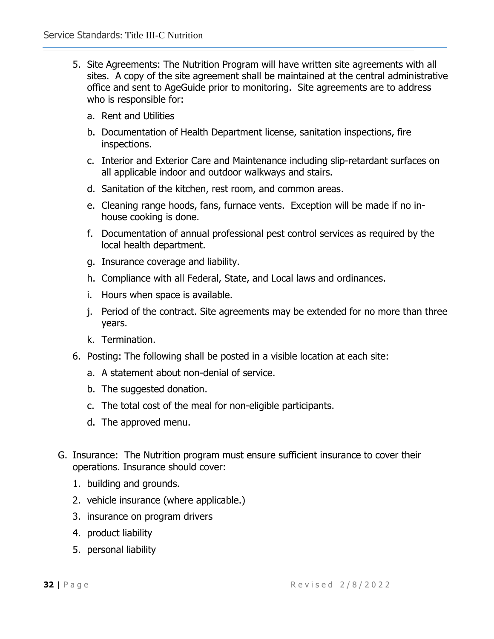- 5. Site Agreements: The Nutrition Program will have written site agreements with all sites. A copy of the site agreement shall be maintained at the central administrative office and sent to AgeGuide prior to monitoring. Site agreements are to address who is responsible for:
	- a. Rent and Utilities
	- b. Documentation of Health Department license, sanitation inspections, fire inspections.
	- c. Interior and Exterior Care and Maintenance including slip-retardant surfaces on all applicable indoor and outdoor walkways and stairs.
	- d. Sanitation of the kitchen, rest room, and common areas.
	- e. Cleaning range hoods, fans, furnace vents. Exception will be made if no inhouse cooking is done.
	- f. Documentation of annual professional pest control services as required by the local health department.
	- g. Insurance coverage and liability.
	- h. Compliance with all Federal, State, and Local laws and ordinances.
	- i. Hours when space is available.
	- j. Period of the contract. Site agreements may be extended for no more than three years.
	- k. Termination.
- 6. Posting: The following shall be posted in a visible location at each site:
	- a. A statement about non-denial of service.
	- b. The suggested donation.
	- c. The total cost of the meal for non-eligible participants.
	- d. The approved menu.
- G. Insurance: The Nutrition program must ensure sufficient insurance to cover their operations. Insurance should cover:
	- 1. building and grounds.
	- 2. vehicle insurance (where applicable.)
	- 3. insurance on program drivers
	- 4. product liability
	- 5. personal liability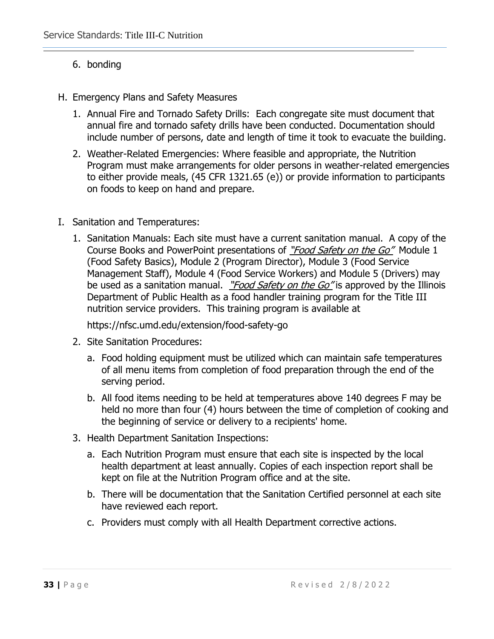# 6. bonding

- H. Emergency Plans and Safety Measures
	- 1. Annual Fire and Tornado Safety Drills: Each congregate site must document that annual fire and tornado safety drills have been conducted. Documentation should include number of persons, date and length of time it took to evacuate the building.
	- 2. Weather-Related Emergencies: Where feasible and appropriate, the Nutrition Program must make arrangements for older persons in weather-related emergencies to either provide meals, (45 CFR 1321.65 (e)) or provide information to participants on foods to keep on hand and prepare.
- I. Sanitation and Temperatures:
	- 1. Sanitation Manuals: Each site must have a current sanitation manual. A copy of the Course Books and PowerPoint presentations of "Food Safety on the Go" Module 1 (Food Safety Basics), Module 2 (Program Director), Module 3 (Food Service Management Staff), Module 4 (Food Service Workers) and Module 5 (Drivers) may be used as a sanitation manual. "Food Safety on the Go" is approved by the Illinois Department of Public Health as a food handler training program for the Title III nutrition service providers. This training program is available at

https://nfsc.umd.edu/extension/food-safety-go

- 2. Site Sanitation Procedures:
	- a. Food holding equipment must be utilized which can maintain safe temperatures of all menu items from completion of food preparation through the end of the serving period.
	- b. All food items needing to be held at temperatures above 140 degrees F may be held no more than four (4) hours between the time of completion of cooking and the beginning of service or delivery to a recipients' home.
- 3. Health Department Sanitation Inspections:
	- a. Each Nutrition Program must ensure that each site is inspected by the local health department at least annually. Copies of each inspection report shall be kept on file at the Nutrition Program office and at the site.
	- b. There will be documentation that the Sanitation Certified personnel at each site have reviewed each report.
	- c. Providers must comply with all Health Department corrective actions.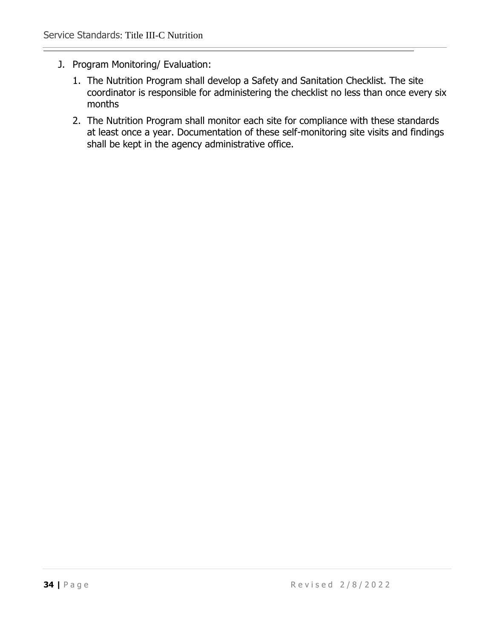- J. Program Monitoring/ Evaluation:
	- 1. The Nutrition Program shall develop a Safety and Sanitation Checklist. The site coordinator is responsible for administering the checklist no less than once every six months
	- 2. The Nutrition Program shall monitor each site for compliance with these standards at least once a year. Documentation of these self-monitoring site visits and findings shall be kept in the agency administrative office.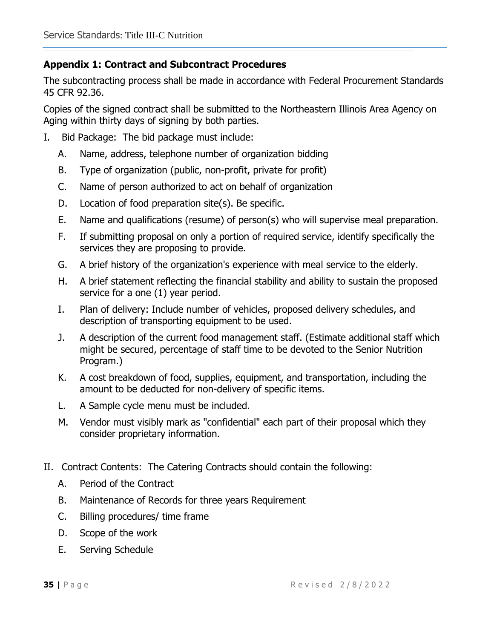# **Appendix 1: Contract and Subcontract Procedures**

The subcontracting process shall be made in accordance with Federal Procurement Standards 45 CFR 92.36.

Copies of the signed contract shall be submitted to the Northeastern Illinois Area Agency on Aging within thirty days of signing by both parties.

- I. Bid Package: The bid package must include:
	- A. Name, address, telephone number of organization bidding
	- B. Type of organization (public, non-profit, private for profit)
	- C. Name of person authorized to act on behalf of organization
	- D. Location of food preparation site(s). Be specific.
	- E. Name and qualifications (resume) of person(s) who will supervise meal preparation.
	- F. If submitting proposal on only a portion of required service, identify specifically the services they are proposing to provide.
	- G. A brief history of the organization's experience with meal service to the elderly.
	- H. A brief statement reflecting the financial stability and ability to sustain the proposed service for a one (1) year period.
	- I. Plan of delivery: Include number of vehicles, proposed delivery schedules, and description of transporting equipment to be used.
	- J. A description of the current food management staff. (Estimate additional staff which might be secured, percentage of staff time to be devoted to the Senior Nutrition Program.)
	- K. A cost breakdown of food, supplies, equipment, and transportation, including the amount to be deducted for non-delivery of specific items.
	- L. A Sample cycle menu must be included.
	- M. Vendor must visibly mark as "confidential" each part of their proposal which they consider proprietary information.
- II. Contract Contents: The Catering Contracts should contain the following:
	- A. Period of the Contract
	- B. Maintenance of Records for three years Requirement
	- C. Billing procedures/ time frame
	- D. Scope of the work
	- E. Serving Schedule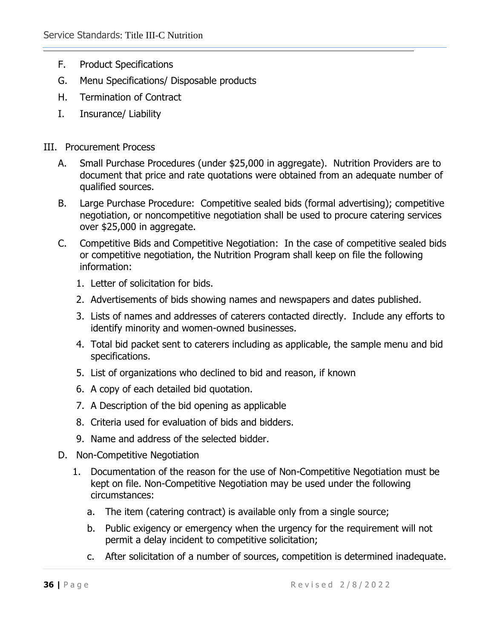- F. Product Specifications
- G. Menu Specifications/ Disposable products
- H. Termination of Contract
- I. Insurance/ Liability

# III. Procurement Process

- A. Small Purchase Procedures (under \$25,000 in aggregate). Nutrition Providers are to document that price and rate quotations were obtained from an adequate number of qualified sources.
- B. Large Purchase Procedure: Competitive sealed bids (formal advertising); competitive negotiation, or noncompetitive negotiation shall be used to procure catering services over \$25,000 in aggregate.
- C. Competitive Bids and Competitive Negotiation: In the case of competitive sealed bids or competitive negotiation, the Nutrition Program shall keep on file the following information:
	- 1. Letter of solicitation for bids.
	- 2. Advertisements of bids showing names and newspapers and dates published.
	- 3. Lists of names and addresses of caterers contacted directly. Include any efforts to identify minority and women-owned businesses.
	- 4. Total bid packet sent to caterers including as applicable, the sample menu and bid specifications.
	- 5. List of organizations who declined to bid and reason, if known
	- 6. A copy of each detailed bid quotation.
	- 7. A Description of the bid opening as applicable
	- 8. Criteria used for evaluation of bids and bidders.
	- 9. Name and address of the selected bidder.
- D. Non-Competitive Negotiation
	- 1. Documentation of the reason for the use of Non-Competitive Negotiation must be kept on file. Non-Competitive Negotiation may be used under the following circumstances:
		- a. The item (catering contract) is available only from a single source;
		- b. Public exigency or emergency when the urgency for the requirement will not permit a delay incident to competitive solicitation;
		- c. After solicitation of a number of sources, competition is determined inadequate.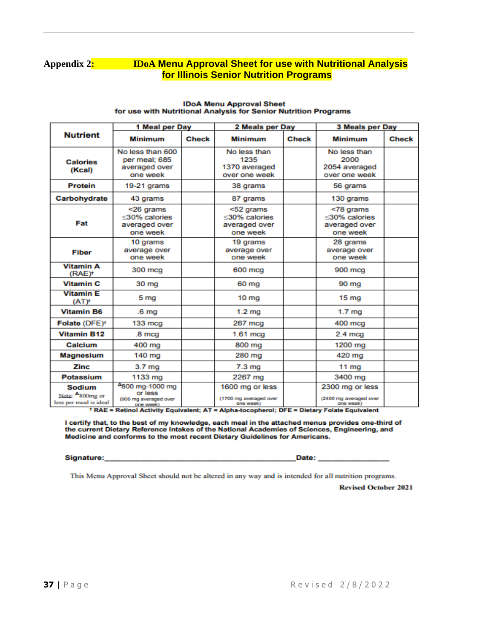### **Appendix 2: IDoA Menu Approval Sheet for use with Nutritional Analysis for Illinois Senior Nutrition Programs**

|                                                                 | 1 Meal per Day                                                   |              | 2 Meals per Day                                         |              | 3 Meals per Day                                         |              |
|-----------------------------------------------------------------|------------------------------------------------------------------|--------------|---------------------------------------------------------|--------------|---------------------------------------------------------|--------------|
| <b>Nutrient</b>                                                 | <b>Minimum</b>                                                   | <b>Check</b> | <b>Minimum</b>                                          | <b>Check</b> | <b>Minimum</b>                                          | <b>Check</b> |
| <b>Calories</b><br>(Kcal)                                       | No less than 600<br>per meal; 685<br>averaged over<br>one week   |              | No less than<br>1235<br>1370 averaged<br>over one week  |              | No less than<br>2000<br>2054 averaged<br>over one week  |              |
| <b>Protein</b>                                                  | 19-21 grams                                                      |              | 38 grams                                                |              | 56 grams                                                |              |
| Carbohydrate                                                    | 43 grams                                                         |              | 87 grams                                                |              | 130 grams                                               |              |
| Fat                                                             | <26 grams<br><30% calories<br>averaged over<br>one week          |              | <52 grams<br><30% calories<br>averaged over<br>one week |              | <78 grams<br><30% calories<br>averaged over<br>one week |              |
| <b>Fiber</b>                                                    | 10 grams<br>average over<br>one week                             |              | 19 grams<br>average over<br>one week                    |              | 28 grams<br>average over<br>one week                    |              |
| <b>Vitamin A</b><br>(RAE) <sup>+</sup>                          | 300 mcg                                                          |              | 600 mcg                                                 |              | 900 mcg                                                 |              |
| <b>Vitamin C</b>                                                | 30 mg                                                            |              | 60 mg                                                   |              | 90 mg                                                   |              |
| <b>Vitamin E</b><br>$(AT)^+$                                    | 5 mg                                                             |              | 10 mg                                                   |              | 15 <sub>mg</sub>                                        |              |
| <b>Vitamin B6</b>                                               | .6 <sub>mq</sub>                                                 |              | 1.2 <sub>mg</sub>                                       |              | 1.7 <sub>mq</sub>                                       |              |
| Folate (DFE) <sup>+</sup>                                       | $133 \text{ mca}$                                                |              | 267 mcg                                                 |              | 400 mcg                                                 |              |
| <b>Vitamin B12</b>                                              | .8 <sub>mca</sub>                                                |              | $1.61$ mcg                                              |              | $2.4 \text{ mca}$                                       |              |
| Calcium                                                         | 400 mg                                                           |              | 800 mg                                                  |              | 1200 mg                                                 |              |
| <b>Magnesium</b>                                                | 140 mg                                                           |              | 280 mg                                                  |              | 420 mg                                                  |              |
| Zinc                                                            | 3.7 <sub>mg</sub>                                                |              | 7.3 <sub>mg</sub>                                       |              | $11$ mg                                                 |              |
| <b>Potassium</b>                                                | 1133 mg                                                          |              | 2267 mg                                                 |              | 3400 mg                                                 |              |
| Sodium<br>Note: <sup>4</sup> 800mg or<br>less per meal is ideal | 4800 mg-1000 mg<br>or less<br>(900 mg averaged over<br>one week) |              | 1600 mg or less<br>(1700 mg averaged over<br>one week)  |              | 2300 mg or less<br>(2400 mg averaged over<br>one week)  |              |

#### **IDoA Menu Approval Sheet** for use with Nutritional Analysis for Senior Nutrition Programs

+ RAE = Retinol Activity Equivalent; AT = Alpha-tocopherol; DFE = Dietary Folate Equivalent

I certify that, to the best of my knowledge, each meal in the attached menus provides one-third of the current Dietary Reference Intakes of the National Academies of Sciences, Engineering, and Medicine and conforms to the most recent Dietary Guidelines for Americans.

Signature:

Date:

This Menu Approval Sheet should not be altered in any way and is intended for all nutrition programs.

**Revised October 2021**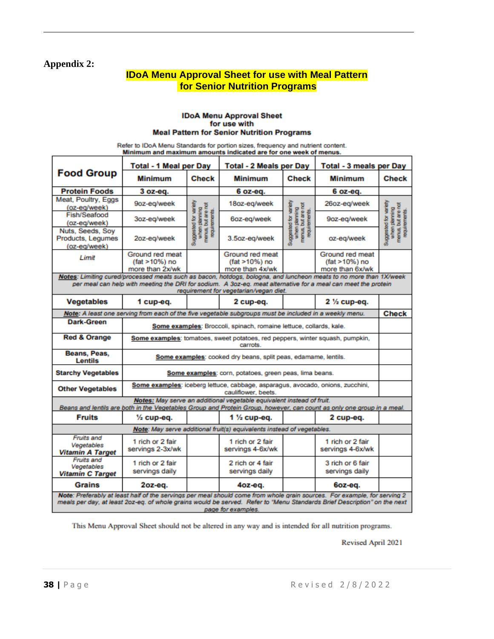### **Appendix 2:**

# **IDoA Menu Approval Sheet for use with Meal Pattern for Senior Nutrition Programs**

#### **IDoA Menu Approval Sheet** for use with **Meal Pattern for Senior Nutrition Programs**

Refer to IDoA Menu Standards for portion sizes, frequency and nutrient content.<br>Minimum and maximum amounts indicated are for one week of menus.

|                                                                                                                                                                                                                                                                              | <b>Total - 1 Meal per Day</b>                                                                                         |                                                                               | <b>Total - 2 Meals per Day</b>                                                                        |                                                                               | <b>Total - 3 meals per Day</b>                      |                                                                               |  |  |
|------------------------------------------------------------------------------------------------------------------------------------------------------------------------------------------------------------------------------------------------------------------------------|-----------------------------------------------------------------------------------------------------------------------|-------------------------------------------------------------------------------|-------------------------------------------------------------------------------------------------------|-------------------------------------------------------------------------------|-----------------------------------------------------|-------------------------------------------------------------------------------|--|--|
| <b>Food Group</b>                                                                                                                                                                                                                                                            | Minimum                                                                                                               | <b>Check</b>                                                                  | <b>Minimum</b>                                                                                        | <b>Check</b>                                                                  | <b>Minimum</b>                                      | <b>Check</b>                                                                  |  |  |
| <b>Protein Foods</b>                                                                                                                                                                                                                                                         | $3 oz-eq.$                                                                                                            |                                                                               | $6 oz-eq.$                                                                                            |                                                                               | $6 oz-eq.$                                          |                                                                               |  |  |
| Meat, Poultry, Eggs<br>(oz-eg/week)                                                                                                                                                                                                                                          | 9oz-eq/week                                                                                                           |                                                                               | 18oz-eg/week                                                                                          |                                                                               | 26oz-eg/week                                        |                                                                               |  |  |
| Fish/Seafood<br>(oz-eg/week)                                                                                                                                                                                                                                                 | 3oz-eg/week                                                                                                           |                                                                               | 6oz-eg/week                                                                                           |                                                                               | 9oz-eg/week                                         | Suggested for variety<br>when planning<br>menus, but are not<br>requirements. |  |  |
| Nuts, Seeds, Soy<br>Products, Legumes<br>(oz-eg/week)                                                                                                                                                                                                                        | 2oz-eg/week                                                                                                           | Suggested for variety<br>when planning<br>menus, but are not<br>requirements. | 3.5oz-eg/week                                                                                         | Suggested for variety<br>when planning<br>menus, but are not<br>requirements. | oz-eg/week                                          |                                                                               |  |  |
| Limit                                                                                                                                                                                                                                                                        | Ground red meat<br>(fat >10%) no<br>more than 2x/wk                                                                   |                                                                               | Ground red meat<br>(fat >10%) no<br>more than 4x/wk                                                   |                                                                               | Ground red meat<br>(fat >10%) no<br>more than 6x/wk |                                                                               |  |  |
| Notes: Limiting cured/processed meats such as bacon, hotdogs, bologna, and luncheon meats to no more than 1X/week<br>per meal can help with meeting the DRI for sodium. A 3oz-eq. meat alternative for a meal can meet the protein<br>requirement for vegetarian/vegan diet. |                                                                                                                       |                                                                               |                                                                                                       |                                                                               |                                                     |                                                                               |  |  |
| <b>Vegetables</b>                                                                                                                                                                                                                                                            | 2 cup-eq.<br>$2\frac{1}{2}$ cup-eq.<br>1 cup-eq.                                                                      |                                                                               |                                                                                                       |                                                                               |                                                     |                                                                               |  |  |
|                                                                                                                                                                                                                                                                              | Note: A least one serving from each of the five vegetable subgroups must be included in a weekly menu.                |                                                                               |                                                                                                       |                                                                               |                                                     | <b>Check</b>                                                                  |  |  |
| Dark-Green                                                                                                                                                                                                                                                                   |                                                                                                                       |                                                                               | Some examples: Broccoli, spinach, romaine lettuce, collards, kale.                                    |                                                                               |                                                     |                                                                               |  |  |
| Red & Orange                                                                                                                                                                                                                                                                 | Some examples: tomatoes, sweet potatoes, red peppers, winter squash, pumpkin,<br>carrots.                             |                                                                               |                                                                                                       |                                                                               |                                                     |                                                                               |  |  |
| Beans, Peas,<br><b>Lentils</b>                                                                                                                                                                                                                                               | Some examples: cooked dry beans, split peas, edamame, lentils.                                                        |                                                                               |                                                                                                       |                                                                               |                                                     |                                                                               |  |  |
| <b>Starchy Vegetables</b>                                                                                                                                                                                                                                                    |                                                                                                                       |                                                                               | Some examples: corn, potatoes, green peas, lima beans.                                                |                                                                               |                                                     |                                                                               |  |  |
| <b>Other Vegetables</b>                                                                                                                                                                                                                                                      |                                                                                                                       |                                                                               | Some examples: iceberg lettuce, cabbage, asparagus, avocado, onions, zucchini,<br>cauliflower, beets. |                                                                               |                                                     |                                                                               |  |  |
|                                                                                                                                                                                                                                                                              | Beans and lentils are both in the Vegetables Group and Protein Group, however, can count as only one group in a meal. |                                                                               | Notes: May serve an additional vegetable equivalent instead of fruit.                                 |                                                                               |                                                     |                                                                               |  |  |
| <b>Fruits</b>                                                                                                                                                                                                                                                                | 1 $\frac{1}{2}$ cup-eq.<br>$\frac{1}{2}$ cup-eq.<br>2 cup-eq.                                                         |                                                                               |                                                                                                       |                                                                               |                                                     |                                                                               |  |  |
|                                                                                                                                                                                                                                                                              |                                                                                                                       |                                                                               | Note: May serve additional fruit(s) equivalents instead of vegetables.                                |                                                                               |                                                     |                                                                               |  |  |
| <b>Fruits and</b><br>Vegetables<br><b>Vitamin A Target</b>                                                                                                                                                                                                                   | 1 rich or 2 fair<br>servings 2-3x/wk                                                                                  |                                                                               | 1 rich or 2 fair<br>servings 4-6x/wk                                                                  |                                                                               | 1 rich or 2 fair<br>servings 4-6x/wk                |                                                                               |  |  |
| Fruits and<br>Vegetables<br><b>Vitamin C Target</b>                                                                                                                                                                                                                          | 1 rich or 2 fair<br>servings daily                                                                                    |                                                                               | 2 rich or 4 fair<br>servings daily                                                                    |                                                                               | 3 rich or 6 fair<br>servings daily                  |                                                                               |  |  |
| <b>Grains</b>                                                                                                                                                                                                                                                                | $2oz-eq.$                                                                                                             |                                                                               | $40z - eq.$                                                                                           |                                                                               | 6oz-eg.                                             |                                                                               |  |  |
| Note: Preferably at least half of the servings per meal should come from whole grain sources. For example, for serving 2<br>meals per day, at least 2oz-eq. of whole grains would be served. Refer to "Menu Standards Brief Description" on the next<br>page for examples.   |                                                                                                                       |                                                                               |                                                                                                       |                                                                               |                                                     |                                                                               |  |  |

This Menu Approval Sheet should not be altered in any way and is intended for all nutrition programs.

Revised April 2021